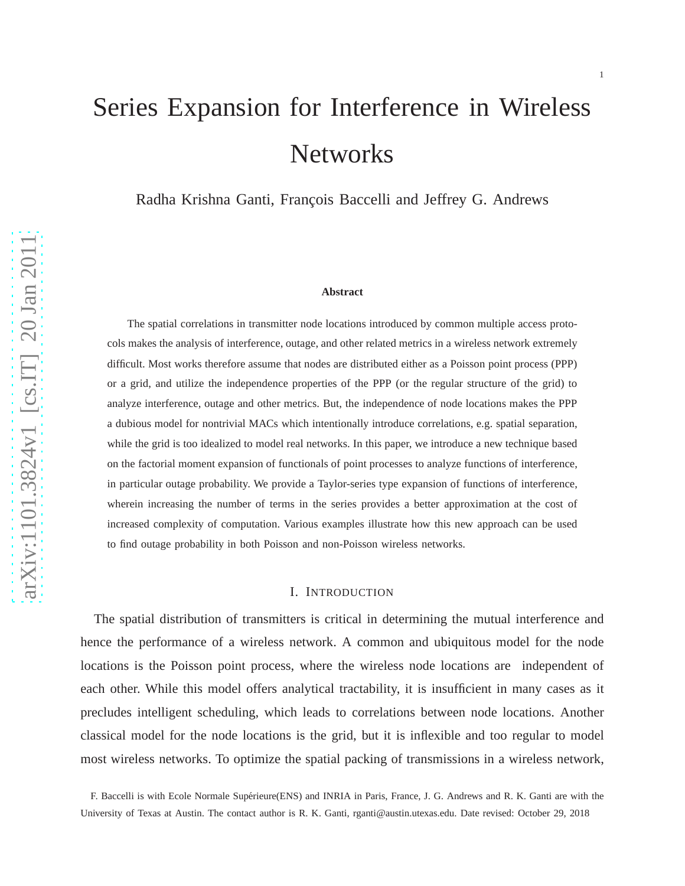# Series Expansion for Interference in Wireless **Networks**

Radha Krishna Ganti, François Baccelli and Jeffrey G. Andrews

#### **Abstract**

The spatial correlations in transmitter node locations introduced by common multiple access protocols makes the analysis of interference, outage, and other related metrics in a wireless network extremely difficult. Most works therefore assume that nodes are distributed either as a Poisson point process (PPP) or a grid, and utilize the independence properties of the PPP (or the regular structure of the grid) to analyze interference, outage and other metrics. But, the independence of node locations makes the PPP a dubious model for nontrivial MACs which intentionally introduce correlations, e.g. spatial separation, while the grid is too idealized to model real networks. In this paper, we introduce a new technique based on the factorial moment expansion of functionals of point processes to analyze functions of interference, in particular outage probability. We provide a Taylor-series type expansion of functions of interference, wherein increasing the number of terms in the series provides a better approximation at the cost of increased complexity of computation. Various examples illustrate how this new approach can be used to find outage probability in both Poisson and non-Poisson wireless networks.

# I. INTRODUCTION

The spatial distribution of transmitters is critical in determining the mutual interference and hence the performance of a wireless network. A common and ubiquitous model for the node locations is the Poisson point process, where the wireless node locations are independent of each other. While this model offers analytical tractability, it is insufficient in many cases as it precludes intelligent scheduling, which leads to correlations between node locations. Another classical model for the node locations is the grid, but it is inflexible and too regular to model most wireless networks. To optimize the spatial packing of transmissions in a wireless network,

F. Baccelli is with Ecole Normale Supérieure(ENS) and INRIA in Paris, France, J. G. Andrews and R. K. Ganti are with the University of Texas at Austin. The contact author is R. K. Ganti, rganti@austin.utexas.edu. Date revised: October 29, 2018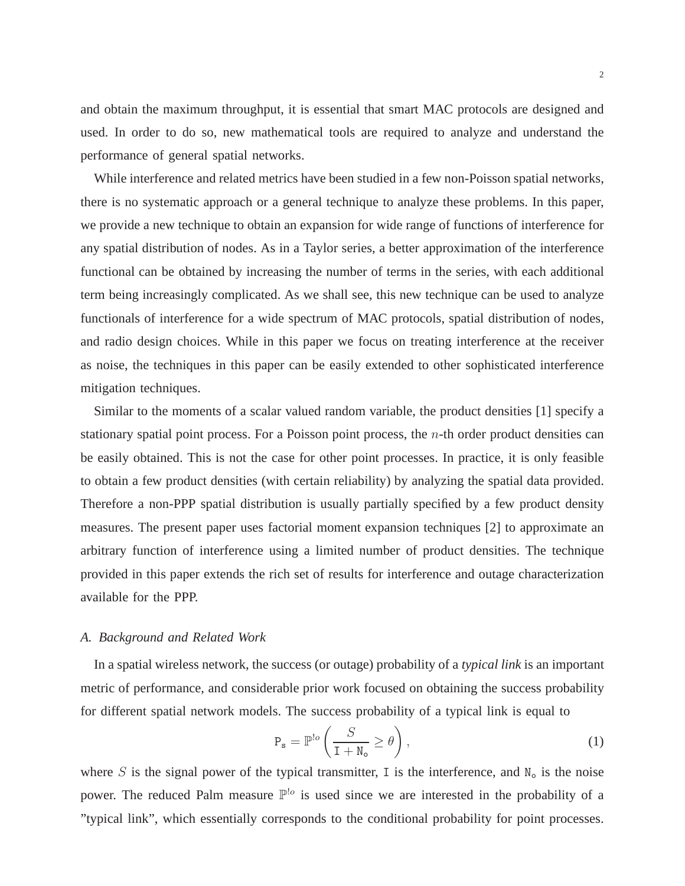and obtain the maximum throughput, it is essential that smart MAC protocols are designed and used. In order to do so, new mathematical tools are required to analyze and understand the performance of general spatial networks.

While interference and related metrics have been studied in a few non-Poisson spatial networks, there is no systematic approach or a general technique to analyze these problems. In this paper, we provide a new technique to obtain an expansion for wide range of functions of interference for any spatial distribution of nodes. As in a Taylor series, a better approximation of the interference functional can be obtained by increasing the number of terms in the series, with each additional term being increasingly complicated. As we shall see, this new technique can be used to analyze functionals of interference for a wide spectrum of MAC protocols, spatial distribution of nodes, and radio design choices. While in this paper we focus on treating interference at the receiver as noise, the techniques in this paper can be easily extended to other sophisticated interference mitigation techniques.

Similar to the moments of a scalar valued random variable, the product densities [1] specify a stationary spatial point process. For a Poisson point process, the  $n$ -th order product densities can be easily obtained. This is not the case for other point processes. In practice, it is only feasible to obtain a few product densities (with certain reliability) by analyzing the spatial data provided. Therefore a non-PPP spatial distribution is usually partially specified by a few product density measures. The present paper uses factorial moment expansion techniques [2] to approximate an arbitrary function of interference using a limited number of product densities. The technique provided in this paper extends the rich set of results for interference and outage characterization available for the PPP.

## *A. Background and Related Work*

In a spatial wireless network, the success (or outage) probability of a *typical link* is an important metric of performance, and considerable prior work focused on obtaining the success probability for different spatial network models. The success probability of a typical link is equal to

$$
P_s = \mathbb{P}^{!o} \left( \frac{S}{I + N_o} \ge \theta \right),\tag{1}
$$

where S is the signal power of the typical transmitter, I is the interference, and  $N_0$  is the noise power. The reduced Palm measure  $\mathbb{P}^{\cdot}$  is used since we are interested in the probability of a "typical link", which essentially corresponds to the conditional probability for point processes.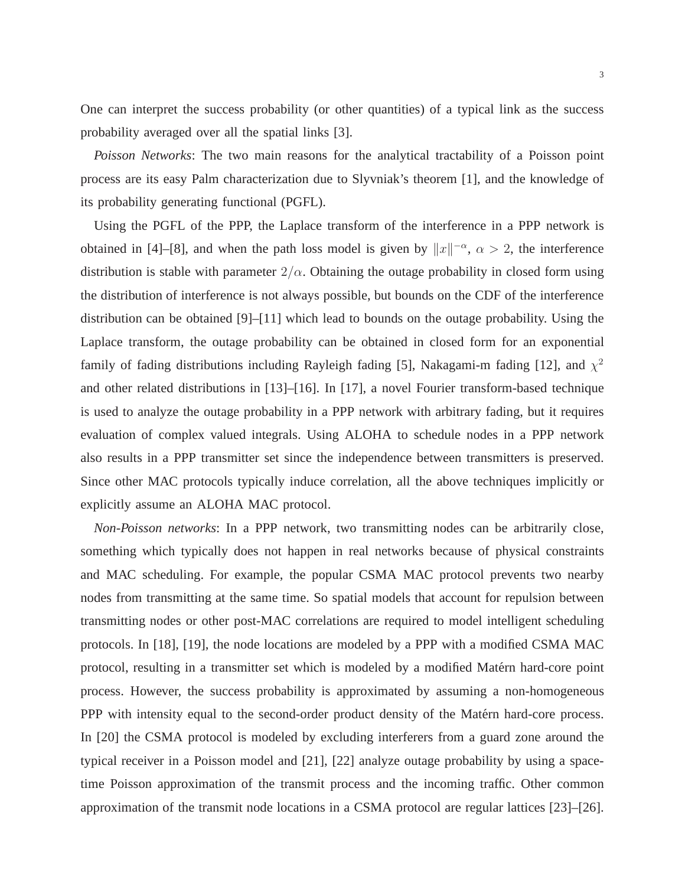One can interpret the success probability (or other quantities) of a typical link as the success probability averaged over all the spatial links [3].

*Poisson Networks*: The two main reasons for the analytical tractability of a Poisson point process are its easy Palm characterization due to Slyvniak's theorem [1], and the knowledge of its probability generating functional (PGFL).

Using the PGFL of the PPP, the Laplace transform of the interference in a PPP network is obtained in [4]–[8], and when the path loss model is given by  $||x||^{-\alpha}$ ,  $\alpha > 2$ , the interference distribution is stable with parameter  $2/\alpha$ . Obtaining the outage probability in closed form using the distribution of interference is not always possible, but bounds on the CDF of the interference distribution can be obtained [9]–[11] which lead to bounds on the outage probability. Using the Laplace transform, the outage probability can be obtained in closed form for an exponential family of fading distributions including Rayleigh fading [5], Nakagami-m fading [12], and  $\chi^2$ and other related distributions in [13]–[16]. In [17], a novel Fourier transform-based technique is used to analyze the outage probability in a PPP network with arbitrary fading, but it requires evaluation of complex valued integrals. Using ALOHA to schedule nodes in a PPP network also results in a PPP transmitter set since the independence between transmitters is preserved. Since other MAC protocols typically induce correlation, all the above techniques implicitly or explicitly assume an ALOHA MAC protocol.

*Non-Poisson networks*: In a PPP network, two transmitting nodes can be arbitrarily close, something which typically does not happen in real networks because of physical constraints and MAC scheduling. For example, the popular CSMA MAC protocol prevents two nearby nodes from transmitting at the same time. So spatial models that account for repulsion between transmitting nodes or other post-MAC correlations are required to model intelligent scheduling protocols. In [18], [19], the node locations are modeled by a PPP with a modified CSMA MAC protocol, resulting in a transmitter set which is modeled by a modified Matérn hard-core point process. However, the success probability is approximated by assuming a non-homogeneous PPP with intensity equal to the second-order product density of the Matérn hard-core process. In [20] the CSMA protocol is modeled by excluding interferers from a guard zone around the typical receiver in a Poisson model and [21], [22] analyze outage probability by using a spacetime Poisson approximation of the transmit process and the incoming traffic. Other common approximation of the transmit node locations in a CSMA protocol are regular lattices [23]–[26].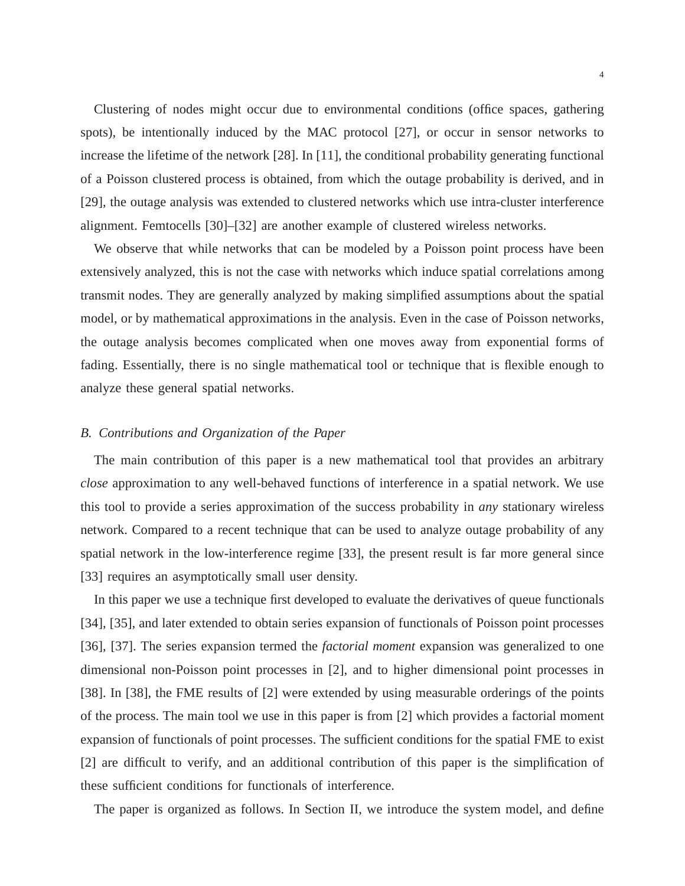Clustering of nodes might occur due to environmental conditions (office spaces, gathering spots), be intentionally induced by the MAC protocol [27], or occur in sensor networks to increase the lifetime of the network [28]. In [11], the conditional probability generating functional of a Poisson clustered process is obtained, from which the outage probability is derived, and in [29], the outage analysis was extended to clustered networks which use intra-cluster interference alignment. Femtocells [30]–[32] are another example of clustered wireless networks.

We observe that while networks that can be modeled by a Poisson point process have been extensively analyzed, this is not the case with networks which induce spatial correlations among transmit nodes. They are generally analyzed by making simplified assumptions about the spatial model, or by mathematical approximations in the analysis. Even in the case of Poisson networks, the outage analysis becomes complicated when one moves away from exponential forms of fading. Essentially, there is no single mathematical tool or technique that is flexible enough to analyze these general spatial networks.

## *B. Contributions and Organization of the Paper*

The main contribution of this paper is a new mathematical tool that provides an arbitrary *close* approximation to any well-behaved functions of interference in a spatial network. We use this tool to provide a series approximation of the success probability in *any* stationary wireless network. Compared to a recent technique that can be used to analyze outage probability of any spatial network in the low-interference regime [33], the present result is far more general since [33] requires an asymptotically small user density.

In this paper we use a technique first developed to evaluate the derivatives of queue functionals [34], [35], and later extended to obtain series expansion of functionals of Poisson point processes [36], [37]. The series expansion termed the *factorial moment* expansion was generalized to one dimensional non-Poisson point processes in [2], and to higher dimensional point processes in [38]. In [38], the FME results of [2] were extended by using measurable orderings of the points of the process. The main tool we use in this paper is from [2] which provides a factorial moment expansion of functionals of point processes. The sufficient conditions for the spatial FME to exist [2] are difficult to verify, and an additional contribution of this paper is the simplification of these sufficient conditions for functionals of interference.

The paper is organized as follows. In Section II, we introduce the system model, and define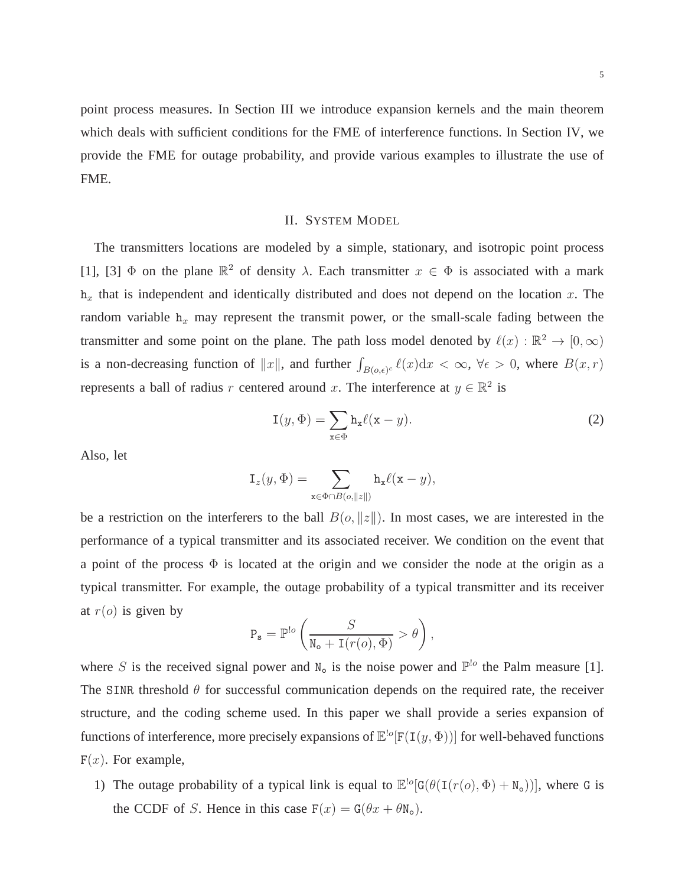point process measures. In Section III we introduce expansion kernels and the main theorem which deals with sufficient conditions for the FME of interference functions. In Section IV, we provide the FME for outage probability, and provide various examples to illustrate the use of FME.

# II. SYSTEM MODEL

The transmitters locations are modeled by a simple, stationary, and isotropic point process [1], [3]  $\Phi$  on the plane  $\mathbb{R}^2$  of density  $\lambda$ . Each transmitter  $x \in \Phi$  is associated with a mark  $h_x$  that is independent and identically distributed and does not depend on the location x. The random variable  $h_x$  may represent the transmit power, or the small-scale fading between the transmitter and some point on the plane. The path loss model denoted by  $\ell(x) : \mathbb{R}^2 \to [0, \infty)$ is a non-decreasing function of  $||x||$ , and further  $\int_{B(o,\epsilon)^c} \ell(x) dx < \infty$ ,  $\forall \epsilon > 0$ , where  $B(x,r)$ represents a ball of radius r centered around x. The interference at  $y \in \mathbb{R}^2$  is

$$
I(y, \Phi) = \sum_{x \in \Phi} h_x \ell(x - y).
$$
 (2)

Also, let

$$
\mathtt{I}_z(y,\Phi) = \sum_{\mathtt{x} \in \Phi \cap B(o, \|z\|)} \mathtt{h}_\mathtt{x} \ell(\mathtt{x} - y),
$$

be a restriction on the interferers to the ball  $B(o, ||z||)$ . In most cases, we are interested in the performance of a typical transmitter and its associated receiver. We condition on the event that a point of the process  $\Phi$  is located at the origin and we consider the node at the origin as a typical transmitter. For example, the outage probability of a typical transmitter and its receiver at  $r(o)$  is given by

$$
P_s = \mathbb{P}^{!o}\left(\frac{S}{N_o + I(r(o), \Phi)} > \theta\right),\,
$$

where S is the received signal power and  $N_0$  is the noise power and  $\mathbb{P}^{l_0}$  the Palm measure [1]. The SINR threshold  $\theta$  for successful communication depends on the required rate, the receiver structure, and the coding scheme used. In this paper we shall provide a series expansion of functions of interference, more precisely expansions of  $\mathbb{E}^{\text{lo}}[F(\text{I}(y,\Phi))]$  for well-behaved functions  $F(x)$ . For example,

1) The outage probability of a typical link is equal to  $\mathbb{E}^{\text{!o}}[G(\theta(\text{I}(r(o), \Phi) + \text{N}_o))],$  where G is the CCDF of S. Hence in this case  $F(x) = G(\theta x + \theta N_0)$ .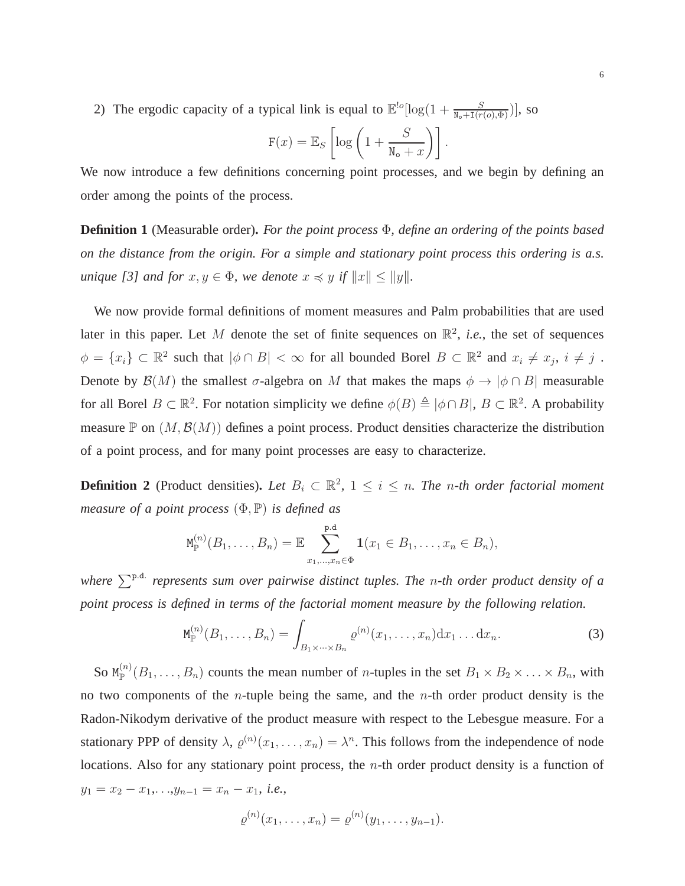2) The ergodic capacity of a typical link is equal to  $\mathbb{E}^{\text{!o}}[\log(1+\frac{S}{N_o+I(r(o),\Phi)})]$ , so

$$
\mathbf{F}(x) = \mathbb{E}_S \left[ \log \left( 1 + \frac{S}{\mathbf{N_o} + x} \right) \right].
$$

We now introduce a few definitions concerning point processes, and we begin by defining an order among the points of the process.

**Definition 1** (Measurable order)**.** *For the point process* Φ*, define an ordering of the points based on the distance from the origin. For a simple and stationary point process this ordering is a.s. unique* [3] and for  $x, y \in \Phi$ , we denote  $x \preccurlyeq y$  if  $||x|| \le ||y||$ .

We now provide formal definitions of moment measures and Palm probabilities that are used later in this paper. Let M denote the set of finite sequences on  $\mathbb{R}^2$ , *i.e.*, the set of sequences  $\phi = \{x_i\} \subset \mathbb{R}^2$  such that  $|\phi \cap B| < \infty$  for all bounded Borel  $B \subset \mathbb{R}^2$  and  $x_i \neq x_j$ ,  $i \neq j$ . Denote by  $\mathcal{B}(M)$  the smallest  $\sigma$ -algebra on M that makes the maps  $\phi \to |\phi \cap B|$  measurable for all Borel  $B \subset \mathbb{R}^2$ . For notation simplicity we define  $\phi(B) \triangleq |\phi \cap B|$ ,  $B \subset \mathbb{R}^2$ . A probability measure  $\mathbb P$  on  $(M, \mathcal B(M))$  defines a point process. Product densities characterize the distribution of a point process, and for many point processes are easy to characterize.

**Definition 2** (Product densities). Let  $B_i \subset \mathbb{R}^2$ ,  $1 \leq i \leq n$ . The *n*-th order factorial moment *measure of a point process* (Φ, P) *is defined as*

$$
M_{\mathbb{P}}^{(n)}(B_1,\ldots,B_n)=\mathbb{E}\sum_{x_1,\ldots,x_n\in\Phi}^{\mathbf{p}.\mathbf{d}}\mathbf{1}(x_1\in B_1,\ldots,x_n\in B_n),
$$

where  $\sum^{\text{p.d.}}$  represents sum over pairwise distinct tuples. The n-th order product density of a *point process is defined in terms of the factorial moment measure by the following relation.*

$$
M_{\mathbb{P}}^{(n)}(B_1,\ldots,B_n)=\int_{B_1\times\cdots\times B_n}\varrho^{(n)}(x_1,\ldots,x_n)\mathrm{d}x_1\ldots\mathrm{d}x_n.
$$
 (3)

So  $M_{\mathbb{P}}^{(n)}(B_1,\ldots,B_n)$  counts the mean number of *n*-tuples in the set  $B_1 \times B_2 \times \ldots \times B_n$ , with no two components of the *n*-tuple being the same, and the *n*-th order product density is the Radon-Nikodym derivative of the product measure with respect to the Lebesgue measure. For a stationary PPP of density  $\lambda$ ,  $\varrho^{(n)}(x_1,\ldots,x_n) = \lambda^n$ . This follows from the independence of node locations. Also for any stationary point process, the *n*-th order product density is a function of  $y_1 = x_2 - x_1, \ldots, y_{n-1} = x_n - x_1, \ i.e.,$ 

$$
\varrho^{(n)}(x_1,\ldots,x_n)=\varrho^{(n)}(y_1,\ldots,y_{n-1}).
$$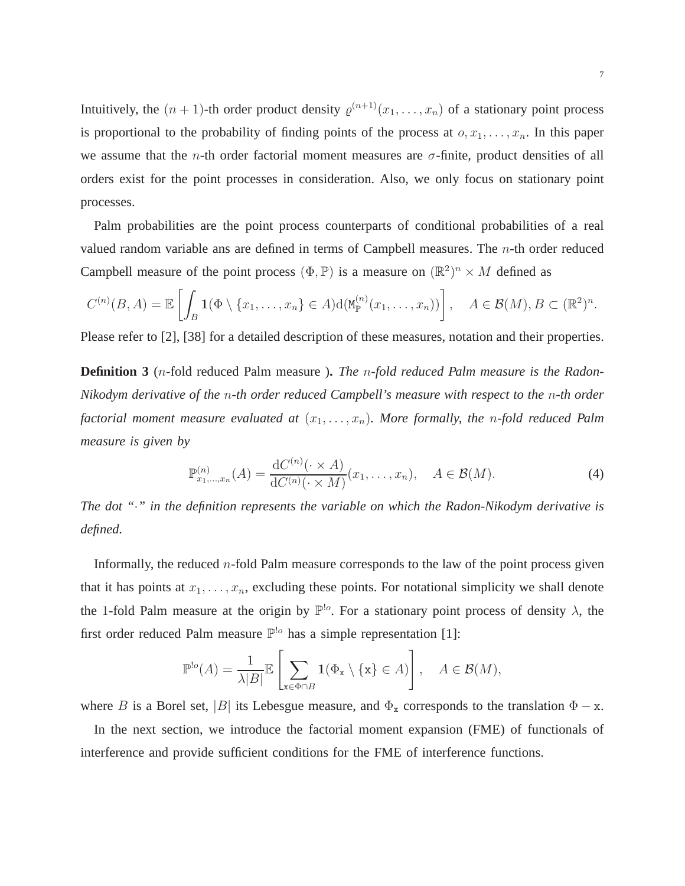Intuitively, the  $(n + 1)$ -th order product density  $\varrho^{(n+1)}(x_1, \ldots, x_n)$  of a stationary point process is proportional to the probability of finding points of the process at  $o, x_1, \ldots, x_n$ . In this paper we assume that the *n*-th order factorial moment measures are  $\sigma$ -finite, product densities of all orders exist for the point processes in consideration. Also, we only focus on stationary point processes.

Palm probabilities are the point process counterparts of conditional probabilities of a real valued random variable ans are defined in terms of Campbell measures. The  $n$ -th order reduced Campbell measure of the point process  $(\Phi, \mathbb{P})$  is a measure on  $(\mathbb{R}^2)^n \times M$  defined as

$$
C^{(n)}(B,A)=\mathbb{E}\left[\int_B \mathbf{1}(\Phi\setminus\{x_1,\ldots,x_n\}\in A)d(\mathbf{M}_{\mathbb{P}}^{(n)}(x_1,\ldots,x_n))\right],\quad A\in\mathcal{B}(M),B\subset(\mathbb{R}^2)^n.
$$

Please refer to [2], [38] for a detailed description of these measures, notation and their properties.

**Definition 3** (n-fold reduced Palm measure )**.** *The* n*-fold reduced Palm measure is the Radon-Nikodym derivative of the* n*-th order reduced Campbell's measure with respect to the* n*-th order factorial moment measure evaluated at*  $(x_1, \ldots, x_n)$ *. More formally, the n-fold reduced Palm measure is given by*

$$
\mathbb{P}_{x_1,\dots,x_n}^{(n)}(A) = \frac{\mathrm{d}C^{(n)}(\cdot \times A)}{\mathrm{d}C^{(n)}(\cdot \times M)}(x_1,\dots,x_n), \quad A \in \mathcal{B}(M). \tag{4}
$$

*The dot "*·*" in the definition represents the variable on which the Radon-Nikodym derivative is defined.*

Informally, the reduced  $n$ -fold Palm measure corresponds to the law of the point process given that it has points at  $x_1, \ldots, x_n$ , excluding these points. For notational simplicity we shall denote the 1-fold Palm measure at the origin by  $\mathbb{P}^{\cdot}$ . For a stationary point process of density  $\lambda$ , the first order reduced Palm measure  $\mathbb{P}^{\mathsf{lo}}$  has a simple representation [1]:

$$
\mathbb{P}^{\text{lo}}(A) = \frac{1}{\lambda|B|} \mathbb{E} \left[ \sum_{\mathbf{x} \in \Phi \cap B} \mathbf{1}(\Phi_{\mathbf{x}} \setminus \{\mathbf{x}\} \in A) \right], \quad A \in \mathcal{B}(M),
$$

where B is a Borel set, |B| its Lebesgue measure, and  $\Phi_x$  corresponds to the translation  $\Phi - x$ .

In the next section, we introduce the factorial moment expansion (FME) of functionals of interference and provide sufficient conditions for the FME of interference functions.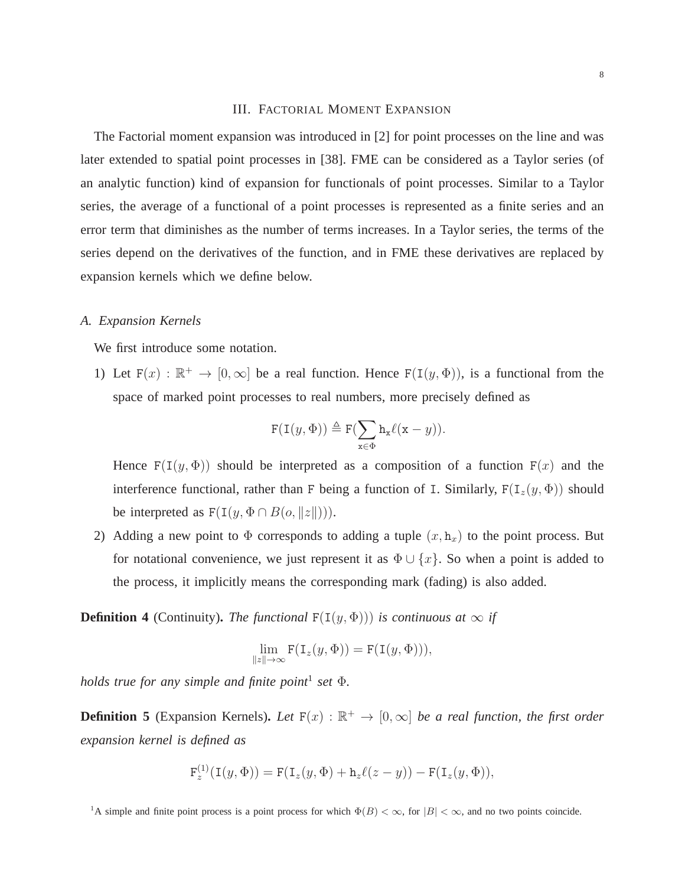### III. FACTORIAL MOMENT EXPANSION

The Factorial moment expansion was introduced in [2] for point processes on the line and was later extended to spatial point processes in [38]. FME can be considered as a Taylor series (of an analytic function) kind of expansion for functionals of point processes. Similar to a Taylor series, the average of a functional of a point processes is represented as a finite series and an error term that diminishes as the number of terms increases. In a Taylor series, the terms of the series depend on the derivatives of the function, and in FME these derivatives are replaced by expansion kernels which we define below.

## *A. Expansion Kernels*

We first introduce some notation.

1) Let  $F(x) : \mathbb{R}^+ \to [0, \infty]$  be a real function. Hence  $F(\mathcal{I}(y, \Phi))$ , is a functional from the space of marked point processes to real numbers, more precisely defined as

$$
\texttt{F}(\texttt{I}(y,\Phi)) \triangleq \texttt{F}(\sum_{\mathbf{x} \in \Phi} \mathbf{h}_{\mathbf{x}} \ell(\mathbf{x} - y)).
$$

Hence  $F(I(y, \Phi))$  should be interpreted as a composition of a function  $F(x)$  and the interference functional, rather than F being a function of I. Similarly,  $F(I_z(y, \Phi))$  should be interpreted as  $F(I(y, \Phi \cap B(o, ||z||)))$ .

2) Adding a new point to  $\Phi$  corresponds to adding a tuple  $(x, h_x)$  to the point process. But for notational convenience, we just represent it as  $\Phi \cup \{x\}$ . So when a point is added to the process, it implicitly means the corresponding mark (fading) is also added.

**Definition 4** (Continuity). *The functional*  $F(I(y, \Phi))$  *is continuous at*  $\infty$  *if* 

$$
\lim_{\|z\|\to\infty} \mathbf{F}(\mathbf{I}_z(y,\Phi)) = \mathbf{F}(\mathbf{I}(y,\Phi))),
$$

*holds true for any simple and finite point*<sup>1</sup> *set* Φ*.*

**Definition 5** (Expansion Kernels). Let  $F(x)$  :  $\mathbb{R}^+ \to [0, \infty]$  be a real function, the first order *expansion kernel is defined as*

$$
\mathbf{F}_z^{(1)}(\mathbf{I}(y,\Phi)) = \mathbf{F}(\mathbf{I}_z(y,\Phi) + \mathbf{h}_z\ell(z-y)) - \mathbf{F}(\mathbf{I}_z(y,\Phi)),
$$

<sup>&</sup>lt;sup>1</sup>A simple and finite point process is a point process for which  $\Phi(B) < \infty$ , for  $|B| < \infty$ , and no two points coincide.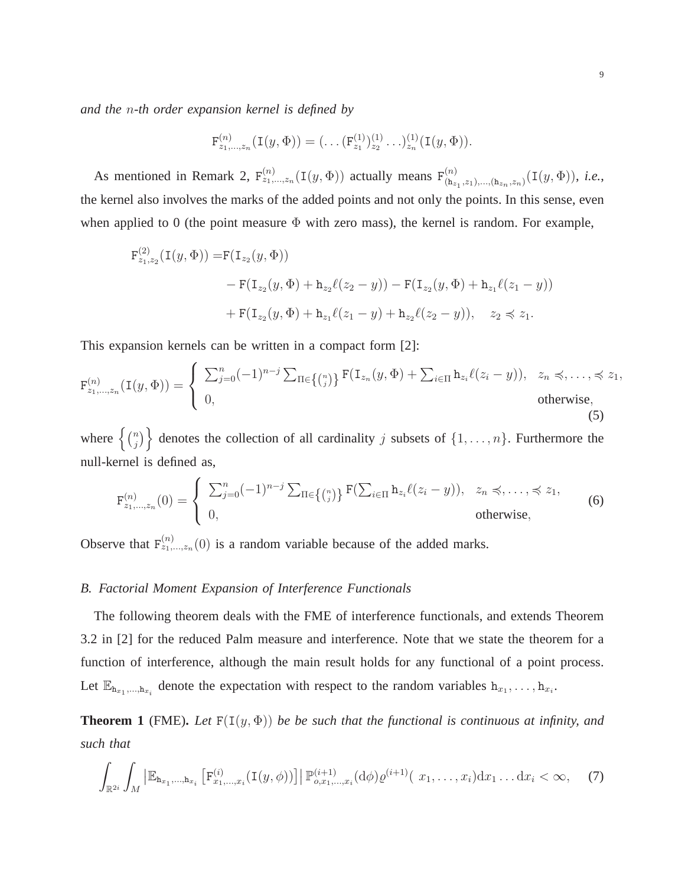*and the* n*-th order expansion kernel is defined by*

$$
\mathrm{F}_{z_1,\ldots,z_n}^{(n)}(\mathrm{I}(y,\Phi))=(\ldots(\mathrm{F}_{z_1}^{(1)})_{z_2}^{(1)}\ldots)_{z_n}^{(1)}(\mathrm{I}(y,\Phi)).
$$

As mentioned in Remark 2,  $F_{z_1,...,z_n}^{(n)}(I(y, \Phi))$  actually means  $F_{(h)}^{(n)}$  $\binom{n}{(\mathtt{h}_{z_1},z_1),...,( \mathtt{h}_{z_n},z_n)}(\mathtt{I}(y,\Phi)),\ i.e.,$ the kernel also involves the marks of the added points and not only the points. In this sense, even when applied to 0 (the point measure  $\Phi$  with zero mass), the kernel is random. For example,

$$
F_{z_1,z_2}^{(2)}(I(y,\Phi)) = F(I_{z_2}(y,\Phi))
$$
  
- F(I\_{z\_2}(y,\Phi) + h\_{z\_2}\ell(z\_2 - y)) - F(I\_{z\_2}(y,\Phi) + h\_{z\_1}\ell(z\_1 - y))  
+ F(I\_{z\_2}(y,\Phi) + h\_{z\_1}\ell(z\_1 - y) + h\_{z\_2}\ell(z\_2 - y)), z\_2 \preccurlyeq z\_1.

This expansion kernels can be written in a compact form [2]:

$$
\mathbf{F}_{z_1,\ldots,z_n}^{(n)}(\mathbf{I}(y,\Phi)) = \begin{cases} \sum_{j=0}^n (-1)^{n-j} \sum_{\Pi \in \{n\}} \mathbf{F}(\mathbf{I}_{z_n}(y,\Phi) + \sum_{i \in \Pi} \mathbf{h}_{z_i} \ell(z_i - y)), & z_n \preccurlyeq, \ldots, \preccurlyeq z_1, \\ 0, & \text{otherwise,} \end{cases}
$$
\n(5)

where  $\{ \begin{pmatrix} n \\ i \end{pmatrix}$  $\binom{n}{j}$  denotes the collection of all cardinality j subsets of  $\{1, \ldots, n\}$ . Furthermore the null-kernel is defined as,

$$
\mathbf{F}_{z_1,\ldots,z_n}^{(n)}(0) = \begin{cases} \sum_{j=0}^n (-1)^{n-j} \sum_{\Pi \in \{n \choose j} \} \mathbf{F}(\sum_{i \in \Pi} \mathbf{h}_{z_i} \ell(z_i - y)), & z_n \preccurlyeq, \ldots, \preccurlyeq z_1, \\ 0, & \text{otherwise,} \end{cases}
$$
(6)

Observe that  $F_{z_1,...,z_n}^{(n)}(0)$  is a random variable because of the added marks.

## *B. Factorial Moment Expansion of Interference Functionals*

The following theorem deals with the FME of interference functionals, and extends Theorem 3.2 in [2] for the reduced Palm measure and interference. Note that we state the theorem for a function of interference, although the main result holds for any functional of a point process. Let  $\mathbb{E}_{h_{x_1},...,h_{x_i}}$  denote the expectation with respect to the random variables  $h_{x_1},...,h_{x_i}$ .

**Theorem 1** (FME). Let  $F(I(y, \Phi))$  be be such that the functional is continuous at infinity, and *such that*

$$
\int_{\mathbb{R}^{2i}} \int_M \left| \mathbb{E}_{\mathbf{h}_{x_1},...,\mathbf{h}_{x_i}} \left[ F_{x_1,...,x_i}^{(i)} (\mathbf{I}(y,\phi)) \right] \right| \mathbb{P}_{o,x_1,...,x_i}^{(i+1)} (\mathrm{d}\phi) \varrho^{(i+1)}(\ x_1,...,x_i) \mathrm{d}x_1 ... \mathrm{d}x_i < \infty,\tag{7}
$$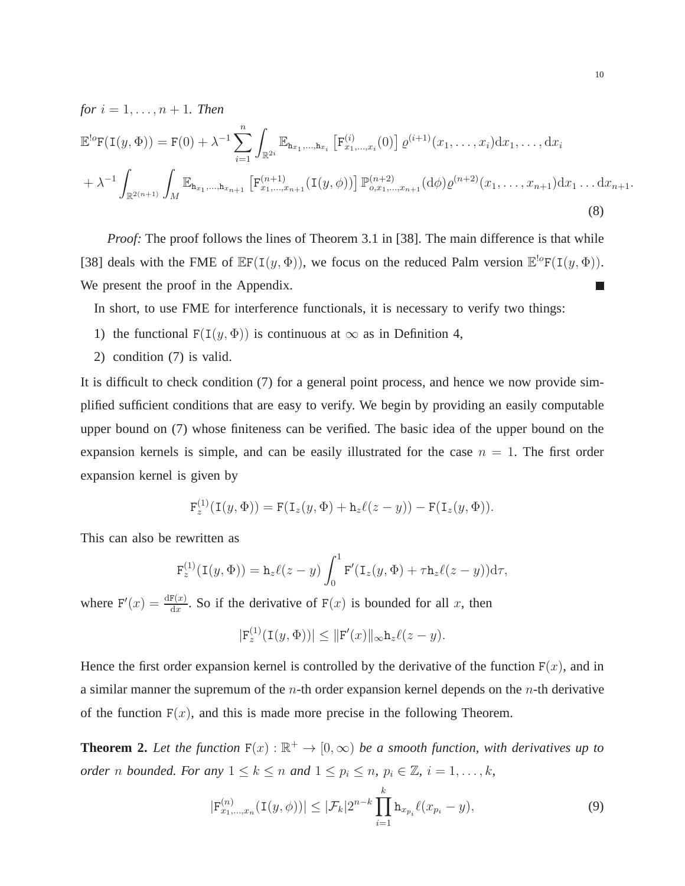*for*  $i = 1, ..., n + 1$ *. Then* 

$$
\mathbb{E}^{!o}F(I(y,\Phi)) = F(0) + \lambda^{-1} \sum_{i=1}^{n} \int_{\mathbb{R}^{2i}} \mathbb{E}_{h_{x_1},...,h_{x_i}} \left[ F_{x_1,...,x_i}^{(i)}(0) \right] \varrho^{(i+1)}(x_1,...,x_i) dx_1,...,dx_i
$$
  
+  $\lambda^{-1} \int_{\mathbb{R}^{2(n+1)}} \int_M \mathbb{E}_{h_{x_1},...,h_{x_{n+1}}} \left[ F_{x_1,...,x_{n+1}}^{(n+1)}(I(y,\phi)) \right] \mathbb{P}_{o,x_1,...,x_{n+1}}^{(n+2)}(d\phi) \varrho^{(n+2)}(x_1,...,x_{n+1}) dx_1 ... dx_{n+1}.$   
(8)

*Proof:* The proof follows the lines of Theorem 3.1 in [38]. The main difference is that while [38] deals with the FME of  $\mathbb{E}F(\mathbb{I}(y, \Phi))$ , we focus on the reduced Palm version  $\mathbb{E}^{\text{log}}F(\mathbb{I}(y, \Phi))$ . We present the proof in the Appendix. m.

In short, to use FME for interference functionals, it is necessary to verify two things:

- 1) the functional  $F(I(y, \Phi))$  is continuous at  $\infty$  as in Definition 4,
- 2) condition (7) is valid.

It is difficult to check condition (7) for a general point process, and hence we now provide simplified sufficient conditions that are easy to verify. We begin by providing an easily computable upper bound on (7) whose finiteness can be verified. The basic idea of the upper bound on the expansion kernels is simple, and can be easily illustrated for the case  $n = 1$ . The first order expansion kernel is given by

$$
\mathbf{F}_z^{(1)}(\mathbf{I}(y,\Phi)) = \mathbf{F}(\mathbf{I}_z(y,\Phi) + \mathbf{h}_z\ell(z-y)) - \mathbf{F}(\mathbf{I}_z(y,\Phi)).
$$

This can also be rewritten as

$$
\mathbf{F}_z^{(1)}(\mathbf{I}(y,\Phi)) = \mathbf{h}_z \ell(z-y) \int_0^1 \mathbf{F}'(\mathbf{I}_z(y,\Phi) + \tau \mathbf{h}_z \ell(z-y)) \mathrm{d}\tau,
$$

where  $F'(x) = \frac{dF(x)}{dx}$ . So if the derivative of  $F(x)$  is bounded for all x, then

$$
|\mathbf{F}_z^{(1)}(\mathbf{I}(y,\Phi))| \le ||\mathbf{F}'(x)||_{\infty} \mathbf{h}_z \ell(z-y).
$$

Hence the first order expansion kernel is controlled by the derivative of the function  $F(x)$ , and in a similar manner the supremum of the *n*-th order expansion kernel depends on the *n*-th derivative of the function  $F(x)$ , and this is made more precise in the following Theorem.

**Theorem 2.** Let the function  $F(x) : \mathbb{R}^+ \to [0, \infty)$  be a smooth function, with derivatives up to *order n bounded. For any*  $1 \leq k \leq n$  *and*  $1 \leq p_i \leq n$ ,  $p_i \in \mathbb{Z}$ ,  $i = 1, ..., k$ ,

$$
|\mathbf{F}_{x_1,\dots,x_n}^{(n)}(\mathbf{I}(y,\phi))| \le |\mathcal{F}_k| 2^{n-k} \prod_{i=1}^k \mathbf{h}_{x_{p_i}} \ell(x_{p_i} - y), \tag{9}
$$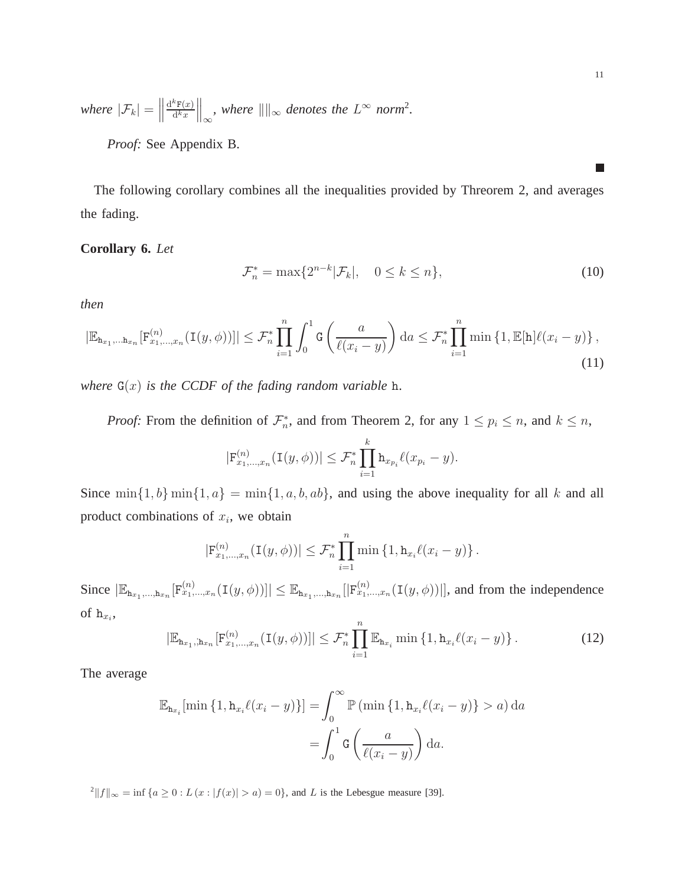*where*  $|\mathcal{F}_k| =$  ${\rm d}^k{\mathtt F}(x)$  $d^k x$  $\int_{-\infty}^{\infty}$ , where  $\|\cdot\|_{\infty}$  denotes the  $L^{\infty}$  norm<sup>2</sup>.

*Proof:* See Appendix B.

The following corollary combines all the inequalities provided by Threorem 2, and averages the fading.

## **Corollary 6.** *Let*

$$
\mathcal{F}_n^* = \max\{2^{n-k}|\mathcal{F}_k|, \quad 0 \le k \le n\},\tag{10}
$$

*then*

$$
|\mathbb{E}_{\mathbf{h}_{x_1},\dots,\mathbf{h}_{x_n}}[F_{x_1,\dots,x_n}^{(n)}(I(y,\phi))]| \leq \mathcal{F}_n^* \prod_{i=1}^n \int_0^1 \mathsf{G}\left(\frac{a}{\ell(x_i-y)}\right) da \leq \mathcal{F}_n^* \prod_{i=1}^n \min\left\{1, \mathbb{E}[\mathbf{h}]\ell(x_i-y)\right\},\tag{11}
$$

*where*  $G(x)$  *is the CCDF of the fading random variable* h.

*Proof:* From the definition of  $\mathcal{F}_n^*$ , and from Theorem 2, for any  $1 \leq p_i \leq n$ , and  $k \leq n$ ,

$$
|\mathbf{F}_{x_1,...,x_n}^{(n)}(\mathbf{I}(y,\phi))| \leq \mathcal{F}_n^* \prod_{i=1}^k \mathbf{h}_{x_{p_i}} \ell(x_{p_i} - y).
$$

Since  $\min\{1, b\} \min\{1, a\} = \min\{1, a, b, ab\}$ , and using the above inequality for all k and all product combinations of  $x_i$ , we obtain

$$
|\mathbf{F}_{x_1,...,x_n}^{(n)}(\mathbf{I}(y,\phi))| \leq \mathcal{F}_n^* \prod_{i=1}^n \min \{1, \mathbf{h}_{x_i} \ell(x_i - y)\}.
$$

Since  $|\mathbb{E}_{h_{x_1},...,h_{x_n}}[F_{x_1,...,x_n}^{(n)}(I(y,\phi))]| \leq \mathbb{E}_{h_{x_1},...,h_{x_n}}[|F_{x_1,...,x_n}^{(n)}(I(y,\phi))|]$ , and from the independence of  $h_{x_i}$ ,

$$
|\mathbb{E}_{\mathbf{h}_{x_1},\mathbf{h}_{x_n}}[\mathbf{F}_{x_1,\dots,x_n}^{(n)}(\mathbf{I}(y,\phi))]| \leq \mathcal{F}_n^* \prod_{i=1}^n \mathbb{E}_{\mathbf{h}_{x_i}} \min\left\{1, \mathbf{h}_{x_i}\ell(x_i-y)\right\}.
$$
 (12)

The average

$$
\mathbb{E}_{\mathbf{h}_{x_i}}[\min\{1,\mathbf{h}_{x_i}\ell(x_i-y)\}]=\int_0^\infty \mathbb{P}\left(\min\{1,\mathbf{h}_{x_i}\ell(x_i-y)\}>a\right)da
$$

$$
=\int_0^1 \mathsf{G}\left(\frac{a}{\ell(x_i-y)}\right)da.
$$

 $2||f||_{\infty} = \inf \{a \geq 0 : L(x : |f(x)| > a) = 0\}$ , and L is the Lebesgue measure [39].

П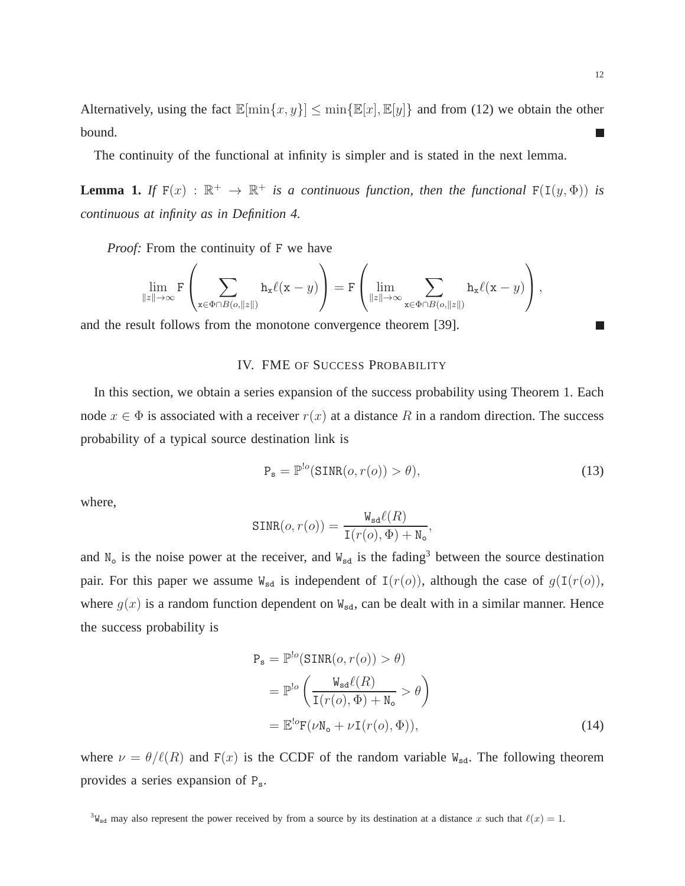Alternatively, using the fact  $\mathbb{E}[\min\{x, y\}] \leq \min\{\mathbb{E}[x], \mathbb{E}[y]\}$  and from (12) we obtain the other bound.  $\mathcal{L}_{\mathcal{A}}$ 

The continuity of the functional at infinity is simpler and is stated in the next lemma.

**Lemma 1.** *If*  $F(x) : \mathbb{R}^+ \to \mathbb{R}^+$  *is a continuous function, then the functional*  $F(I(y, \Phi))$  *is continuous at infinity as in Definition 4.*

*Proof:* From the continuity of F we have

$$
\lim_{\|z\|\to\infty} \mathbf{F}\left(\sum_{\mathbf{x}\in\Phi\cap B(o,\|z\|)} \mathbf{h}_{\mathbf{x}}\ell(\mathbf{x}-y)\right)=\mathbf{F}\left(\lim_{\|z\|\to\infty} \sum_{\mathbf{x}\in\Phi\cap B(o,\|z\|)} \mathbf{h}_{\mathbf{x}}\ell(\mathbf{x}-y)\right),
$$

and the result follows from the monotone convergence theorem [39].

## IV. FME OF SUCCESS PROBABILITY

In this section, we obtain a series expansion of the success probability using Theorem 1. Each node  $x \in \Phi$  is associated with a receiver  $r(x)$  at a distance R in a random direction. The success probability of a typical source destination link is

$$
P_s = \mathbb{P}^{!o}(\text{SINR}(o, r(o)) > \theta),\tag{13}
$$

where,

$$
\text{SINR}(o, r(o)) = \frac{W_{sd}\ell(R)}{I(r(o), \Phi) + W_o},
$$

and  $N_0$  is the noise power at the receiver, and  $W_{sd}$  is the fading<sup>3</sup> between the source destination pair. For this paper we assume  $W_{sd}$  is independent of  $I(r(o))$ , although the case of  $g(I(r(o))$ , where  $g(x)$  is a random function dependent on  $W_{sd}$ , can be dealt with in a similar manner. Hence the success probability is

$$
P_s = \mathbb{P}^{lo}(\text{SINR}(o, r(o)) > \theta)
$$
  
= 
$$
\mathbb{P}^{lo} \left( \frac{W_{sd}\ell(R)}{I(r(o), \Phi) + N_o} > \theta \right)
$$
  
= 
$$
\mathbb{E}^{lo}F(\nu N_o + \nu I(r(o), \Phi)),
$$
 (14)

where  $\nu = \theta/\ell(R)$  and  $F(x)$  is the CCDF of the random variable W<sub>sd</sub>. The following theorem provides a series expansion of Ps.

m.

<sup>&</sup>lt;sup>3</sup>W<sub>sd</sub> may also represent the power received by from a source by its destination at a distance x such that  $\ell(x) = 1$ .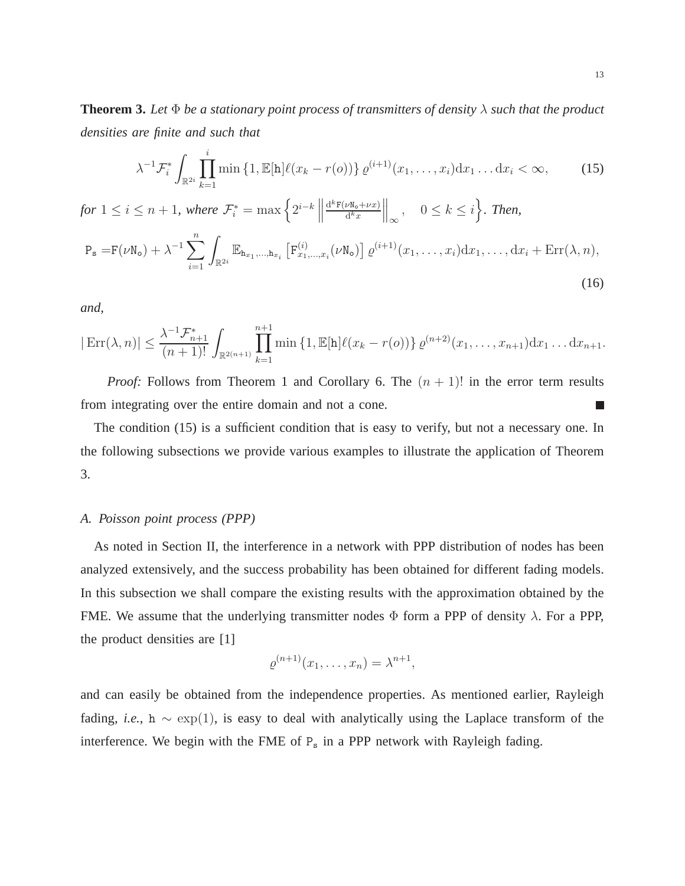**Theorem 3.** Let  $\Phi$  be a stationary point process of transmitters of density  $\lambda$  such that the product *densities are finite and such that*

$$
\lambda^{-1} \mathcal{F}_{i}^{*} \int_{\mathbb{R}^{2i}} \prod_{k=1}^{i} \min \left\{ 1, \mathbb{E}[\mathbf{h}] \ell(x_{k} - r(o)) \right\} \varrho^{(i+1)}(x_{1}, \dots, x_{i}) \mathrm{d}x_{1} \dots \mathrm{d}x_{i} < \infty, \tag{15}
$$

*for*  $1 \leq i \leq n+1$ *, where*  $\mathcal{F}_{i}^{*} = \max \left\{ 2^{i-k} \middle\|$  $d^k F(\nu N_0 + \nu x)$  $d^k x$  $\Big\|_{\infty}$ ,  $0 \leq k \leq i$ , *Then,*  $P_s = F(\nu N_o) + \lambda^{-1} \sum_{n=1}^{n}$  $i=1$ Z  $\int_{\mathbb{R}^{2i}} \mathbb{E}_{\mathbf{h}_{x_1},...,\mathbf{h}_{x_i}} \left[ \mathbf{F}_{x_1,...,x_i}^{(i)}(\nu \mathbf{N_o}) \right] \varrho^{(i+1)}(x_1,\ldots,x_i) \mathrm{d}x_1,\ldots,\mathrm{d}x_i + \mathrm{Err}(\lambda,n),$ (16)

*and,*

$$
|\operatorname{Err}(\lambda, n)| \leq \frac{\lambda^{-1} \mathcal{F}_{n+1}^*}{(n+1)!} \int_{\mathbb{R}^{2(n+1)}} \prod_{k=1}^{n+1} \min \left\{ 1, \mathbb{E}[\mathbf{h}] \ell(x_k - r(o)) \right\} \varrho^{(n+2)}(x_1, \dots, x_{n+1}) \mathrm{d} x_1 \dots \mathrm{d} x_{n+1}.
$$

*Proof:* Follows from Theorem 1 and Corollary 6. The  $(n + 1)!$  in the error term results from integrating over the entire domain and not a cone. П

The condition (15) is a sufficient condition that is easy to verify, but not a necessary one. In the following subsections we provide various examples to illustrate the application of Theorem 3.

## *A. Poisson point process (PPP)*

As noted in Section II, the interference in a network with PPP distribution of nodes has been analyzed extensively, and the success probability has been obtained for different fading models. In this subsection we shall compare the existing results with the approximation obtained by the FME. We assume that the underlying transmitter nodes  $\Phi$  form a PPP of density  $\lambda$ . For a PPP, the product densities are [1]

$$
\varrho^{(n+1)}(x_1,\ldots,x_n)=\lambda^{n+1},
$$

and can easily be obtained from the independence properties. As mentioned earlier, Rayleigh fading, *i.e.*, h  $\sim$  exp(1), is easy to deal with analytically using the Laplace transform of the interference. We begin with the FME of  $P_s$  in a PPP network with Rayleigh fading.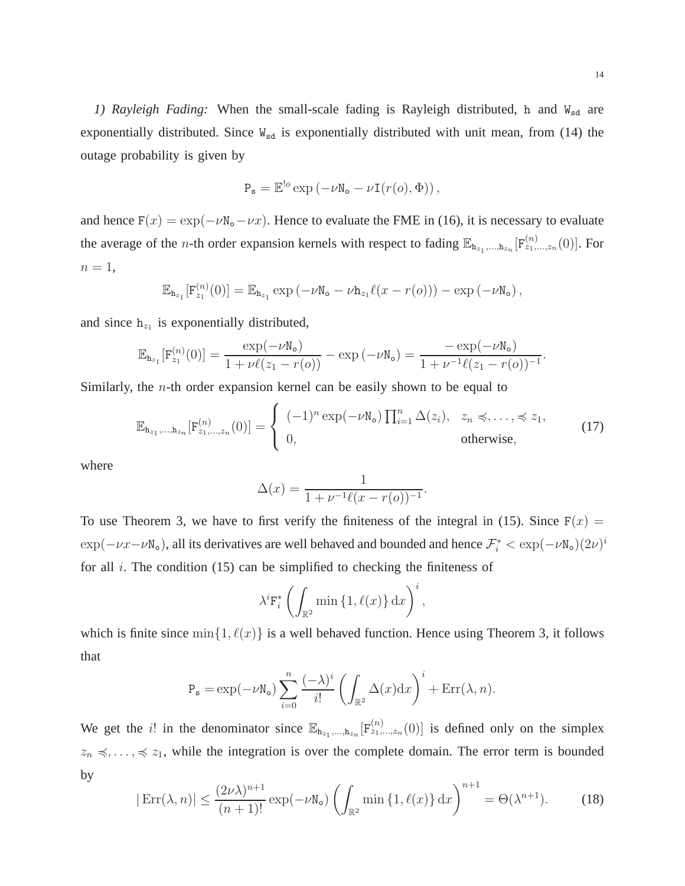1) Rayleigh Fading: When the small-scale fading is Rayleigh distributed, h and W<sub>sd</sub> are exponentially distributed. Since  $W_{sd}$  is exponentially distributed with unit mean, from (14) the outage probability is given by

$$
P_s = \mathbb{E}^{!o} \exp(-\nu \mathbb{N}_o - \nu \mathbb{I}(r(o), \Phi)),
$$

and hence  $F(x) = \exp(-\nu \mathbb{N}_{0} - \nu x)$ . Hence to evaluate the FME in (16), it is necessary to evaluate the average of the *n*-th order expansion kernels with respect to fading  $\mathbb{E}_{h_{z_1},...,h_{z_n}}[F_{z_1,...,z_n}^{(n)}(0)]$ . For  $n=1,$ 

$$
\mathbb{E}_{\mathtt{h}_{z_1}}[F_{z_1}^{(n)}(0)] = \mathbb{E}_{\mathtt{h}_{z_1}} \exp \left(-\nu \mathtt{N_o} - \nu \mathtt{h}_{z_1} \ell(x-r(o))\right) - \exp \left(-\nu \mathtt{N_o}\right),
$$

and since  $h_{z_1}$  is exponentially distributed,

$$
\mathbb{E}_{\mathbf{h}_{z_1}}[\mathbf{F}_{z_1}^{(n)}(0)] = \frac{\exp(-\nu \mathbf{N}_0)}{1 + \nu \ell(z_1 - r(o))} - \exp(-\nu \mathbf{N}_0) = \frac{-\exp(-\nu \mathbf{N}_0)}{1 + \nu^{-1} \ell(z_1 - r(o))^{-1}}.
$$

Similarly, the n-th order expansion kernel can be easily shown to be equal to

$$
\mathbb{E}_{\mathbf{h}_{z_1},\dots,\mathbf{h}_{z_n}}[\mathbf{F}_{z_1,\dots,z_n}^{(n)}(0)] = \begin{cases} (-1)^n \exp(-\nu \mathbf{N}_o) \prod_{i=1}^n \Delta(z_i), & z_n \preccurlyeq, \dots, \preccurlyeq z_1, \\ 0, & \text{otherwise,} \end{cases}
$$
(17)

where

$$
\Delta(x) = \frac{1}{1 + \nu^{-1} \ell(x - r(o))^{-1}}.
$$

To use Theorem 3, we have to first verify the finiteness of the integral in (15). Since  $F(x) =$  $\exp(-\nu x - \nu N_o)$ , all its derivatives are well behaved and bounded and hence  $\mathcal{F}_i^* < \exp(-\nu N_o)(2\nu)^i$ for all  $i$ . The condition (15) can be simplified to checking the finiteness of

$$
\lambda^{i} \mathbf{F}_{i}^{*} \left( \int_{\mathbb{R}^{2}} \min \left\{ 1, \ell(x) \right\} \mathrm{d}x \right)^{i},
$$

which is finite since  $\min\{1, \ell(x)\}\$ is a well behaved function. Hence using Theorem 3, it follows that

$$
P_{s} = \exp(-\nu N_{o}) \sum_{i=0}^{n} \frac{(-\lambda)^{i}}{i!} \left( \int_{\mathbb{R}^{2}} \Delta(x) dx \right)^{i} + \text{Err}(\lambda, n).
$$

We get the *i*! in the denominator since  $\mathbb{E}_{h_{z_1},...,h_{z_n}}[F^{(n)}_{z_1,...,z_n}(0)]$  is defined only on the simplex  $z_n \leq \ldots \leq z_1$ , while the integration is over the complete domain. The error term is bounded by

$$
|\operatorname{Err}(\lambda, n)| \le \frac{(2\nu\lambda)^{n+1}}{(n+1)!} \exp(-\nu \mathbf{N}_o) \left(\int_{\mathbb{R}^2} \min\left\{1, \ell(x)\right\} dx\right)^{n+1} = \Theta(\lambda^{n+1}).\tag{18}
$$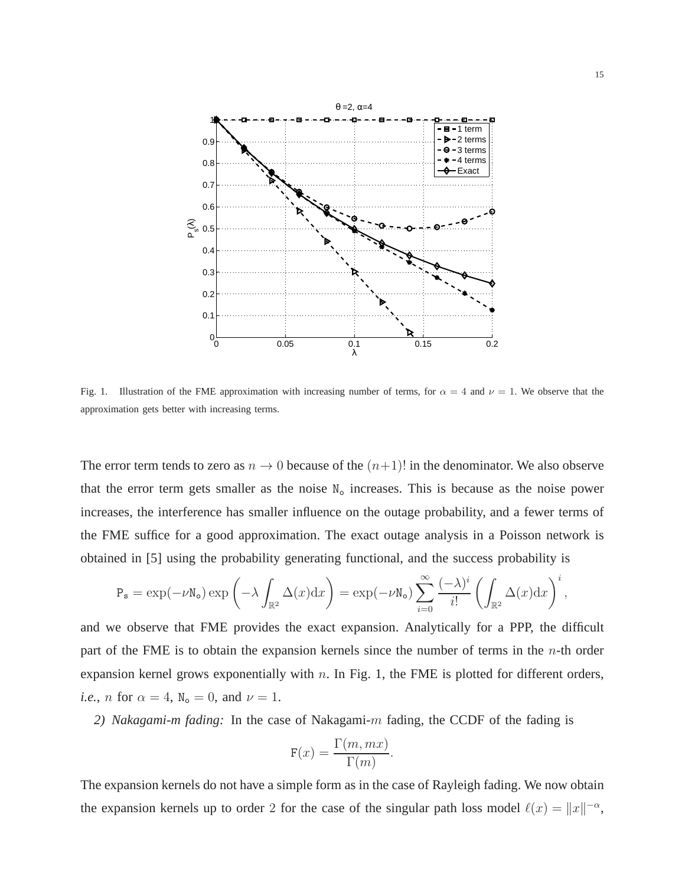

Fig. 1. Illustration of the FME approximation with increasing number of terms, for  $\alpha = 4$  and  $\nu = 1$ . We observe that the approximation gets better with increasing terms.

The error term tends to zero as  $n \to 0$  because of the  $(n+1)!$  in the denominator. We also observe that the error term gets smaller as the noise  $N<sub>o</sub>$  increases. This is because as the noise power increases, the interference has smaller influence on the outage probability, and a fewer terms of the FME suffice for a good approximation. The exact outage analysis in a Poisson network is obtained in [5] using the probability generating functional, and the success probability is

$$
P_s = \exp(-\nu N_o) \exp\left(-\lambda \int_{\mathbb{R}^2} \Delta(x) dx\right) = \exp(-\nu N_o) \sum_{i=0}^{\infty} \frac{(-\lambda)^i}{i!} \left(\int_{\mathbb{R}^2} \Delta(x) dx\right)^i,
$$

and we observe that FME provides the exact expansion. Analytically for a PPP, the difficult part of the FME is to obtain the expansion kernels since the number of terms in the  $n$ -th order expansion kernel grows exponentially with  $n$ . In Fig. 1, the FME is plotted for different orders, *i.e.*, *n* for  $\alpha = 4$ ,  $N_o = 0$ , and  $\nu = 1$ .

*2) Nakagami-m fading:* In the case of Nakagami-m fading, the CCDF of the fading is

$$
F(x) = \frac{\Gamma(m, mx)}{\Gamma(m)}.
$$

The expansion kernels do not have a simple form as in the case of Rayleigh fading. We now obtain the expansion kernels up to order 2 for the case of the singular path loss model  $\ell(x) = ||x||^{-\alpha}$ ,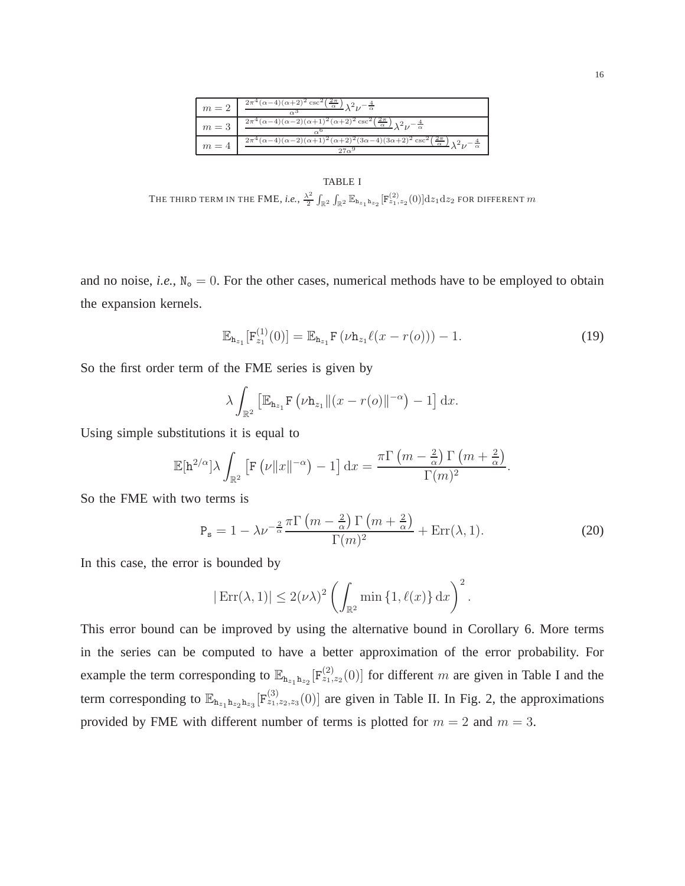| $m=2$ | $\frac{2\pi^4(\alpha-4)(\alpha+2)^2\csc^2\left(\frac{2\pi}{\alpha}\right)}{\lambda^2\nu-\frac{4}{\alpha}}$                       |
|-------|----------------------------------------------------------------------------------------------------------------------------------|
| $m=3$ | $\frac{2\pi^4(\alpha-4)(\alpha-2)(\alpha+1)^2(\alpha+2)^2\csc^2\left(\frac{2\pi}{\alpha}\right)}{\lambda^2\nu-\frac{4}{\alpha}}$ |
| $m=4$ | $2\pi^4(\alpha-4)(\alpha-2)(\alpha+1)^2(\alpha+2)^2(3\alpha-4)(3\alpha+2)^2\csc^2(\frac{2\pi}{\alpha})$                          |

#### TABLE I

THE THIRD TERM IN THE FME, *i.e.*,  $\frac{\lambda^2}{2}$  $\frac{\lambda^2}{2}\int_{\mathbb{R}^2}\int_{\mathbb{R}^2} \mathbb{E}_{\mathtt{h}_{z_1}\mathtt{h}_{z_2}}[ \mathrm{F}^{(2)}_{z_1,z_2}(0) ]\mathrm{d}z_1\mathrm{d}z_2$  for different  $m$ 

and no noise, *i.e.*,  $N_0 = 0$ . For the other cases, numerical methods have to be employed to obtain the expansion kernels.

$$
\mathbb{E}_{\mathbf{h}_{z_1}}[F_{z_1}^{(1)}(0)] = \mathbb{E}_{\mathbf{h}_{z_1}}F(\nu \mathbf{h}_{z_1}\ell(x - r(o))) - 1.
$$
 (19)

So the first order term of the FME series is given by

$$
\lambda \int_{\mathbb{R}^2} \left[ \mathbb{E}_{\mathtt{h}_{z_1}} \mathbf{F}\left(\nu \mathtt{h}_{z_1} \Vert (x - r(o) \Vert^{-\alpha}\right) - 1 \right] dx.
$$

Using simple substitutions it is equal to

$$
\mathbb{E}[\mathbf{h}^{2/\alpha}]\lambda \int_{\mathbb{R}^2} \left[ \mathbf{F}\left(\nu \|x\|^{-\alpha}\right) - 1 \right] \mathrm{d}x = \frac{\pi \Gamma\left(m - \frac{2}{\alpha}\right) \Gamma\left(m + \frac{2}{\alpha}\right)}{\Gamma(m)^2}.
$$

So the FME with two terms is

$$
P_s = 1 - \lambda \nu^{-\frac{2}{\alpha}} \frac{\pi \Gamma \left( m - \frac{2}{\alpha} \right) \Gamma \left( m + \frac{2}{\alpha} \right)}{\Gamma(m)^2} + \text{Err}(\lambda, 1). \tag{20}
$$

In this case, the error is bounded by

$$
|\operatorname{Err}(\lambda, 1)| \le 2(\nu\lambda)^2 \left( \int_{\mathbb{R}^2} \min\left\{1, \ell(x)\right\} dx \right)^2.
$$

This error bound can be improved by using the alternative bound in Corollary 6. More terms in the series can be computed to have a better approximation of the error probability. For example the term corresponding to  $\mathbb{E}_{h_{z_1}h_{z_2}}[F^{(2)}_{z_1,z_2}(0)]$  for different m are given in Table I and the term corresponding to  $\mathbb{E}_{h_{z_1}h_{z_2}h_{z_3}}[F^{(3)}_{z_1,z_2,z_3}(0)]$  are given in Table II. In Fig. 2, the approximations provided by FME with different number of terms is plotted for  $m = 2$  and  $m = 3$ .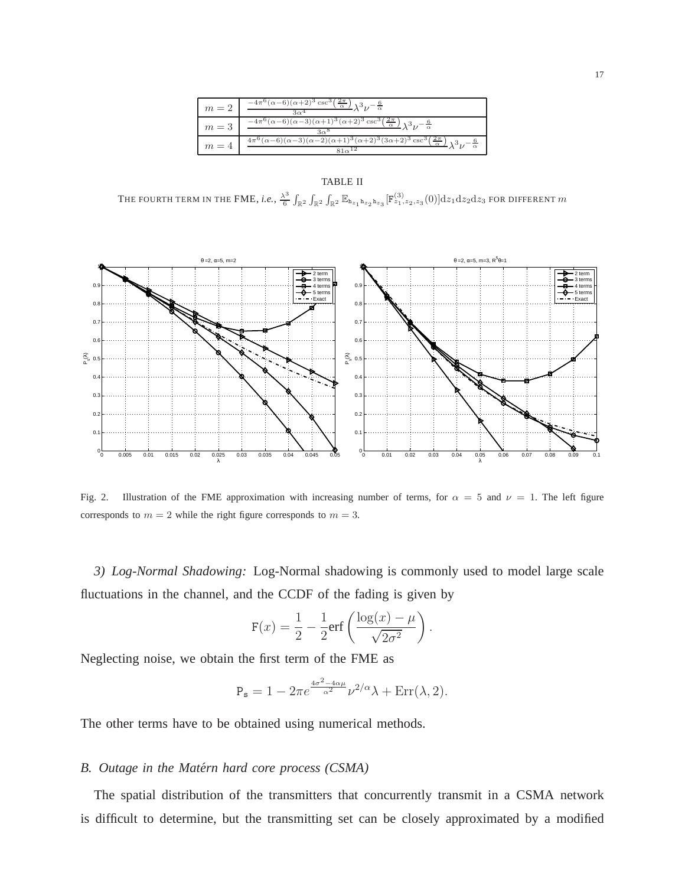| $m=2$ | $-\frac{4\pi^{6}(\alpha-6)(\alpha+2)^{3}\csc^{3}(\frac{2\pi}{\alpha})}{\lambda^{3}\nu-\frac{6}{\alpha}}$                                     |
|-------|----------------------------------------------------------------------------------------------------------------------------------------------|
| $m=3$ | $-\frac{4\pi^{6}(\alpha-6)(\alpha-3)(\alpha+1)^{3}(\alpha+2)^{3}\csc^{3}(\frac{2\pi}{\alpha})}{\lambda^{3}\nu^{-\frac{6}{\alpha}}}$          |
| $m=4$ | $\frac{4\pi^6(\alpha-6)(\alpha-3)(\alpha-2)(\alpha+1)^3(\alpha+2)^3(3\alpha+2)^3\csc^3(\frac{2\pi}{\alpha})}{\lambda^3\nu-\frac{6}{\alpha}}$ |

#### TABLE II

THE FOURTH TERM IN THE FME, *i.e.*,  $\frac{\lambda^3}{6}$  $\frac{R^3}{6}\int_{\mathbb{R}^2}\int_{\mathbb{R}^2}\int_{\mathbb{R}^2}\mathbb{E}_{\mathtt{h}_{z_1}\mathtt{h}_{z_2}\mathtt{h}_{z_3}}[\mathtt{F}^{(3)}_{z_1,z_2,z_3}(0)]\mathrm{d}z_1\mathrm{d}z_2\mathrm{d}z_3$  for different  $m$ 



Fig. 2. Illustration of the FME approximation with increasing number of terms, for  $\alpha = 5$  and  $\nu = 1$ . The left figure corresponds to  $m = 2$  while the right figure corresponds to  $m = 3$ .

*3) Log-Normal Shadowing:* Log-Normal shadowing is commonly used to model large scale fluctuations in the channel, and the CCDF of the fading is given by

$$
F(x) = \frac{1}{2} - \frac{1}{2} \text{erf}\left(\frac{\log(x) - \mu}{\sqrt{2\sigma^2}}\right).
$$

Neglecting noise, we obtain the first term of the FME as

$$
P_s = 1 - 2\pi e^{\frac{4\sigma^2 - 4\alpha\mu}{\alpha^2}} \nu^{2/\alpha} \lambda + \text{Err}(\lambda, 2).
$$

The other terms have to be obtained using numerical methods.

## *B. Outage in the Matern hard core process (CSMA) ´*

The spatial distribution of the transmitters that concurrently transmit in a CSMA network is difficult to determine, but the transmitting set can be closely approximated by a modified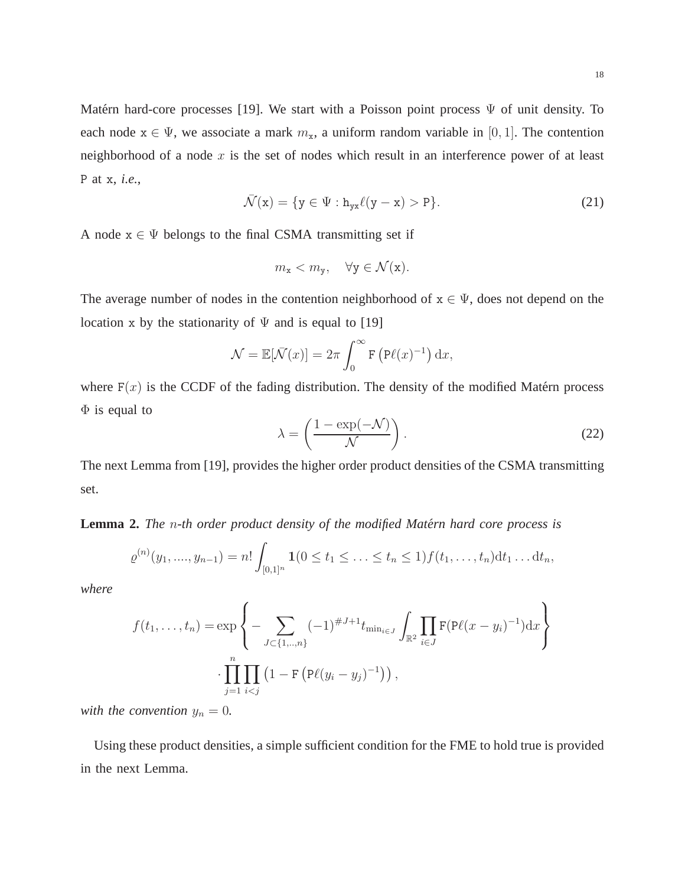Matérn hard-core processes [19]. We start with a Poisson point process  $\Psi$  of unit density. To each node  $x \in \Psi$ , we associate a mark  $m_x$ , a uniform random variable in [0, 1]. The contention neighborhood of a node  $x$  is the set of nodes which result in an interference power of at least P at x, *i.e.*,

$$
\bar{\mathcal{N}}(\mathbf{x}) = \{ \mathbf{y} \in \Psi : \mathbf{h}_{\mathbf{y}\mathbf{x}} \ell(\mathbf{y} - \mathbf{x}) > \mathbf{P} \}. \tag{21}
$$

A node  $x \in \Psi$  belongs to the final CSMA transmitting set if

$$
m_{x} < m_{y}, \quad \forall y \in \mathcal{N}(x).
$$

The average number of nodes in the contention neighborhood of  $x \in \Psi$ , does not depend on the location x by the stationarity of  $\Psi$  and is equal to [19]

$$
\mathcal{N} = \mathbb{E}[\bar{\mathcal{N}}(x)] = 2\pi \int_0^\infty \mathbf{F} \left( \mathbf{P}\ell(x)^{-1} \right) dx,
$$

where  $F(x)$  is the CCDF of the fading distribution. The density of the modified Matérn process  $\Phi$  is equal to

$$
\lambda = \left(\frac{1 - \exp(-\mathcal{N})}{\mathcal{N}}\right). \tag{22}
$$

The next Lemma from [19], provides the higher order product densities of the CSMA transmitting set.

**Lemma 2.** *The n-th order product density of the modified Matérn hard core process is* 

$$
\varrho^{(n)}(y_1, \ldots, y_{n-1}) = n! \int_{[0,1]^n} \mathbf{1}(0 \le t_1 \le \ldots \le t_n \le 1) f(t_1, \ldots, t_n) dt_1 \ldots dt_n,
$$

*where*

$$
f(t_1, ..., t_n) = \exp \left\{ - \sum_{J \subset \{1, ..., n\}} (-1)^{\#J+1} t_{\min_{i \in J}} \int_{\mathbb{R}^2} \prod_{i \in J} \mathbf{F}(\mathbf{P}\ell(x - y_i)^{-1}) dx \right\}
$$

$$
\cdot \prod_{j=1}^n \prod_{i < j} \left( 1 - \mathbf{F} \left( \mathbf{P}\ell(y_i - y_j)^{-1} \right) \right),
$$

*with the convention*  $y_n = 0$ .

Using these product densities, a simple sufficient condition for the FME to hold true is provided in the next Lemma.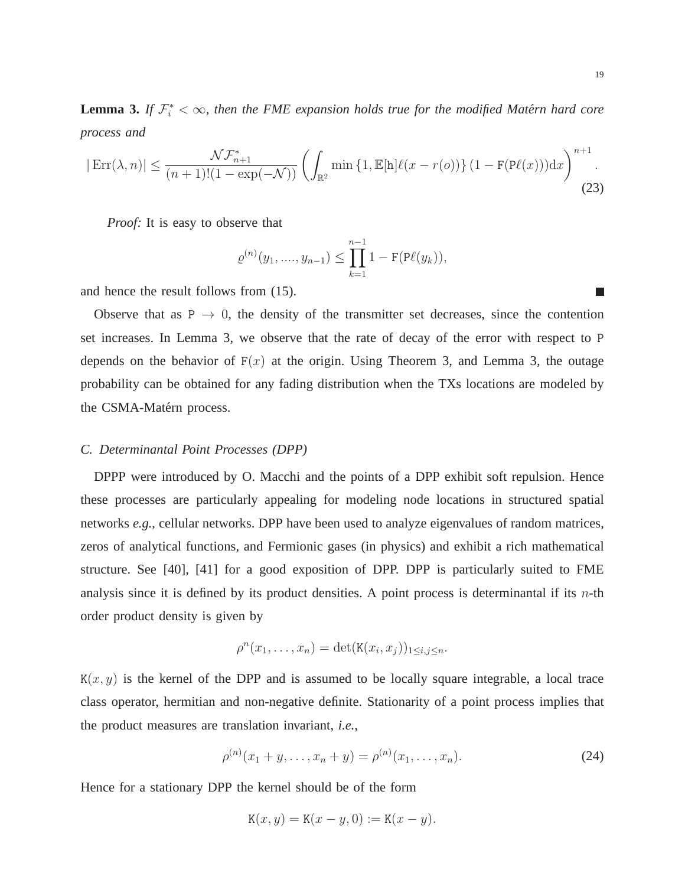**Lemma 3.** If  $\mathcal{F}_i^* < \infty$ , then the FME expansion holds true for the modified Matérn hard core *process and*

$$
|\operatorname{Err}(\lambda, n)| \le \frac{\mathcal{NF}_{n+1}^*}{(n+1)!(1 - \exp(-\mathcal{N}))} \left( \int_{\mathbb{R}^2} \min\left\{1, \mathbb{E}[\mathbf{h}]\ell(x - r(o))\right\} (1 - \mathbf{F}(\mathbf{P}\ell(x))) \mathrm{d}x \right)^{n+1} . \tag{23}
$$

*Proof:* It is easy to observe that

$$
\varrho^{(n)}(y_1, \dots, y_{n-1}) \le \prod_{k=1}^{n-1} 1 - \mathbf{F}(\mathbf{P}\ell(y_k)),
$$

and hence the result follows from (15).

Observe that as  $P \rightarrow 0$ , the density of the transmitter set decreases, since the contention set increases. In Lemma 3, we observe that the rate of decay of the error with respect to P depends on the behavior of  $F(x)$  at the origin. Using Theorem 3, and Lemma 3, the outage probability can be obtained for any fading distribution when the TXs locations are modeled by the CSMA-Matérn process.

# *C. Determinantal Point Processes (DPP)*

DPPP were introduced by O. Macchi and the points of a DPP exhibit soft repulsion. Hence these processes are particularly appealing for modeling node locations in structured spatial networks *e.g.*, cellular networks. DPP have been used to analyze eigenvalues of random matrices, zeros of analytical functions, and Fermionic gases (in physics) and exhibit a rich mathematical structure. See [40], [41] for a good exposition of DPP. DPP is particularly suited to FME analysis since it is defined by its product densities. A point process is determinantal if its  $n$ -th order product density is given by

$$
\rho^{n}(x_1,\ldots,x_n)=\det(\mathtt{K}(x_i,x_j))_{1\leq i,j\leq n}.
$$

 $K(x, y)$  is the kernel of the DPP and is assumed to be locally square integrable, a local trace class operator, hermitian and non-negative definite. Stationarity of a point process implies that the product measures are translation invariant, *i.e.*,

$$
\rho^{(n)}(x_1 + y, \dots, x_n + y) = \rho^{(n)}(x_1, \dots, x_n). \tag{24}
$$

Hence for a stationary DPP the kernel should be of the form

$$
K(x, y) = K(x - y, 0) := K(x - y).
$$

**Tale**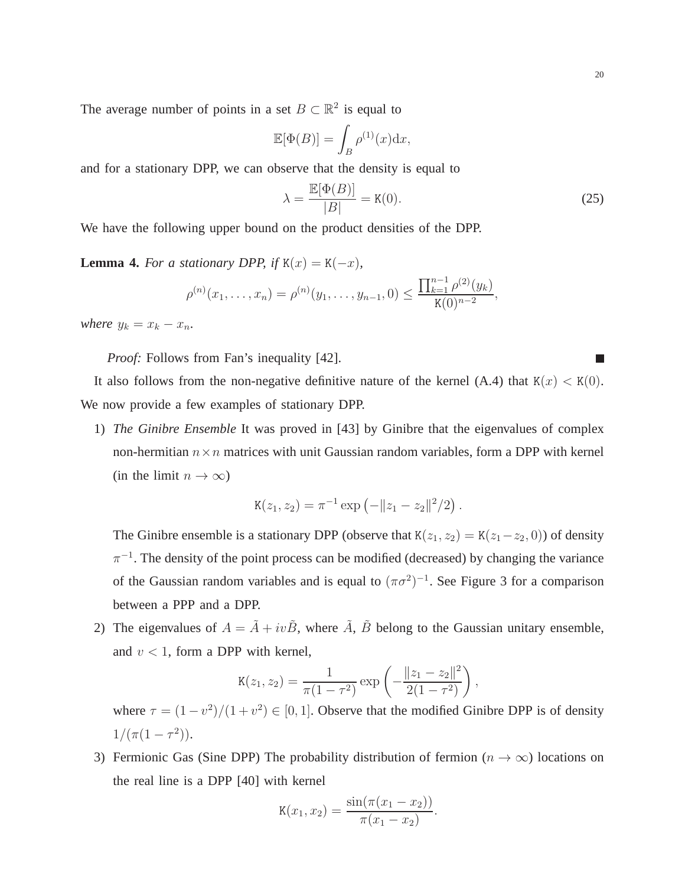The average number of points in a set  $B \subset \mathbb{R}^2$  is equal to

$$
\mathbb{E}[\Phi(B)] = \int_B \rho^{(1)}(x) \mathrm{d}x,
$$

and for a stationary DPP, we can observe that the density is equal to

$$
\lambda = \frac{\mathbb{E}[\Phi(B)]}{|B|} = \mathbf{K}(0). \tag{25}
$$

We have the following upper bound on the product densities of the DPP.

**Lemma 4.** *For a stationary DPP, if*  $K(x) = K(-x)$ *,* 

$$
\rho^{(n)}(x_1,\ldots,x_n)=\rho^{(n)}(y_1,\ldots,y_{n-1},0)\leq \frac{\prod_{k=1}^{n-1}\rho^{(2)}(y_k)}{K(0)^{n-2}},
$$

*where*  $y_k = x_k - x_n$ .

*Proof:* Follows from Fan's inequality [42].

It also follows from the non-negative definitive nature of the kernel (A.4) that  $K(x) < K(0)$ . We now provide a few examples of stationary DPP.

1) *The Ginibre Ensemble* It was proved in [43] by Ginibre that the eigenvalues of complex non-hermitian  $n \times n$  matrices with unit Gaussian random variables, form a DPP with kernel (in the limit  $n \to \infty$ )

$$
K(z_1, z_2) = \pi^{-1} \exp(-\|z_1 - z_2\|^2/2).
$$

The Ginibre ensemble is a stationary DPP (observe that  $K(z_1, z_2) = K(z_1 - z_2, 0)$ ) of density  $\pi^{-1}$ . The density of the point process can be modified (decreased) by changing the variance of the Gaussian random variables and is equal to  $(\pi \sigma^2)^{-1}$ . See Figure 3 for a comparison between a PPP and a DPP.

2) The eigenvalues of  $A = \tilde{A} + iv\tilde{B}$ , where  $\tilde{A}$ ,  $\tilde{B}$  belong to the Gaussian unitary ensemble, and  $v < 1$ , form a DPP with kernel,

$$
K(z_1, z_2) = \frac{1}{\pi (1 - \tau^2)} \exp \left(-\frac{\|z_1 - z_2\|^2}{2(1 - \tau^2)}\right),
$$

where  $\tau = (1 - v^2)/(1 + v^2) \in [0, 1]$ . Observe that the modified Ginibre DPP is of density  $1/(\pi(1-\tau^2)).$ 

3) Fermionic Gas (Sine DPP) The probability distribution of fermion ( $n \to \infty$ ) locations on the real line is a DPP [40] with kernel

$$
K(x_1, x_2) = \frac{\sin(\pi(x_1 - x_2))}{\pi(x_1 - x_2)}.
$$

П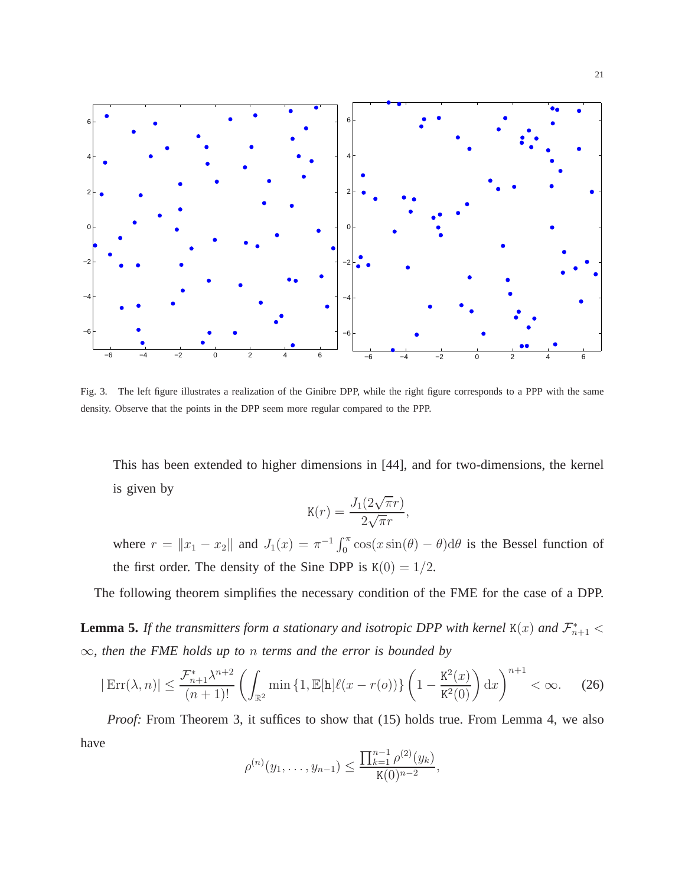

Fig. 3. The left figure illustrates a realization of the Ginibre DPP, while the right figure corresponds to a PPP with the same density. Observe that the points in the DPP seem more regular compared to the PPP.

This has been extended to higher dimensions in [44], and for two-dimensions, the kernel is given by

$$
K(r) = \frac{J_1(2\sqrt{\pi}r)}{2\sqrt{\pi}r},
$$

where  $r = ||x_1 - x_2||$  and  $J_1(x) = \pi^{-1} \int_0^{\pi} \cos(x \sin(\theta) - \theta) d\theta$  is the Bessel function of the first order. The density of the Sine DPP is  $K(0) = 1/2$ .

The following theorem simplifies the necessary condition of the FME for the case of a DPP.

**Lemma 5.** If the transmitters form a stationary and isotropic DPP with kernel  $\texttt{K}(x)$  and  $\mathcal{F}^*_{n+1}$  < ∞*, then the FME holds up to* n *terms and the error is bounded by*

$$
|\operatorname{Err}(\lambda, n)| \le \frac{\mathcal{F}_{n+1}^* \lambda^{n+2}}{(n+1)!} \left( \int_{\mathbb{R}^2} \min \left\{ 1, \mathbb{E}[\mathbf{h}] \ell(x - r(o)) \right\} \left( 1 - \frac{\mathbf{K}^2(x)}{\mathbf{K}^2(0)} \right) dx \right)^{n+1} < \infty. \tag{26}
$$

*Proof:* From Theorem 3, it suffices to show that (15) holds true. From Lemma 4, we also have

$$
\rho^{(n)}(y_1,\ldots,y_{n-1}) \leq \frac{\prod_{k=1}^{n-1} \rho^{(2)}(y_k)}{K(0)^{n-2}},
$$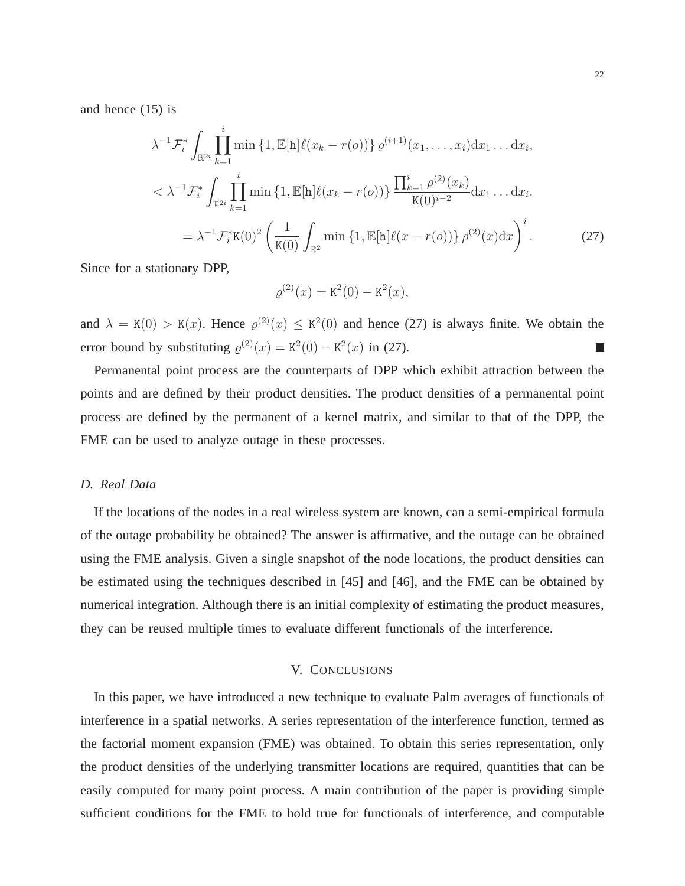and hence (15) is

$$
\lambda^{-1} \mathcal{F}_{i}^{*} \int_{\mathbb{R}^{2i}} \prod_{k=1}^{i} \min \left\{ 1, \mathbb{E}[\mathbf{h}] \ell(x_{k} - r(o)) \right\} \varrho^{(i+1)}(x_{1}, \dots, x_{i}) \mathrm{d}x_{1} \dots \mathrm{d}x_{i},
$$
\n
$$
< \lambda^{-1} \mathcal{F}_{i}^{*} \int_{\mathbb{R}^{2i}} \prod_{k=1}^{i} \min \left\{ 1, \mathbb{E}[\mathbf{h}] \ell(x_{k} - r(o)) \right\} \frac{\prod_{k=1}^{i} \rho^{(2)}(x_{k})}{\mathbf{K}(0)^{i-2}} \mathrm{d}x_{1} \dots \mathrm{d}x_{i}.
$$
\n
$$
= \lambda^{-1} \mathcal{F}_{i}^{*} \mathbf{K}(0)^{2} \left( \frac{1}{\mathbf{K}(0)} \int_{\mathbb{R}^{2}} \min \left\{ 1, \mathbb{E}[\mathbf{h}] \ell(x - r(o)) \right\} \rho^{(2)}(x) \mathrm{d}x \right)^{i}.
$$
\n(27)

Since for a stationary DPP,

$$
\varrho^{(2)}(x) = \mathbf{K}^2(0) - \mathbf{K}^2(x),
$$

and  $\lambda = K(0) > K(x)$ . Hence  $\varrho^{(2)}(x) \leq K^2(0)$  and hence (27) is always finite. We obtain the error bound by substituting  $\varrho^{(2)}(x) = K^2(0) - K^2(x)$  in (27).  $\Box$ 

Permanental point process are the counterparts of DPP which exhibit attraction between the points and are defined by their product densities. The product densities of a permanental point process are defined by the permanent of a kernel matrix, and similar to that of the DPP, the FME can be used to analyze outage in these processes.

# *D. Real Data*

If the locations of the nodes in a real wireless system are known, can a semi-empirical formula of the outage probability be obtained? The answer is affirmative, and the outage can be obtained using the FME analysis. Given a single snapshot of the node locations, the product densities can be estimated using the techniques described in [45] and [46], and the FME can be obtained by numerical integration. Although there is an initial complexity of estimating the product measures, they can be reused multiple times to evaluate different functionals of the interference.

# V. CONCLUSIONS

In this paper, we have introduced a new technique to evaluate Palm averages of functionals of interference in a spatial networks. A series representation of the interference function, termed as the factorial moment expansion (FME) was obtained. To obtain this series representation, only the product densities of the underlying transmitter locations are required, quantities that can be easily computed for many point process. A main contribution of the paper is providing simple sufficient conditions for the FME to hold true for functionals of interference, and computable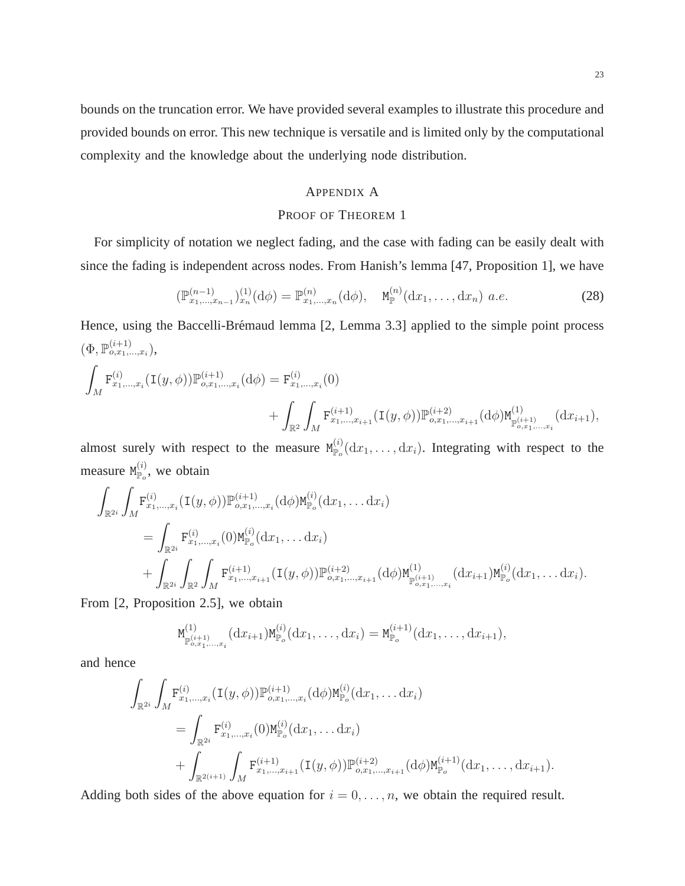bounds on the truncation error. We have provided several examples to illustrate this procedure and provided bounds on error. This new technique is versatile and is limited only by the computational complexity and the knowledge about the underlying node distribution.

# APPENDIX A

# PROOF OF THEOREM 1

For simplicity of notation we neglect fading, and the case with fading can be easily dealt with since the fading is independent across nodes. From Hanish's lemma [47, Proposition 1], we have

$$
(\mathbb{P}_{x_1,\dots,x_{n-1}}^{(n-1)})_{x_n}^{(1)}(\mathrm{d}\phi) = \mathbb{P}_{x_1,\dots,x_n}^{(n)}(\mathrm{d}\phi), \quad \mathbf{M}_{\mathbb{P}}^{(n)}(\mathrm{d}x_1,\dots,\mathrm{d}x_n) \ a.e. \tag{28}
$$

Hence, using the Baccelli-Brémaud lemma [2, Lemma 3.3] applied to the simple point process  $(\Phi, \mathbb{P}^{(i+1)}_{o,x_1,...,x_i}),$ 

$$
\int_{M} \mathbf{F}_{x_1,\ldots,x_i}^{(i)}(\mathbf{I}(y,\phi)) \mathbb{P}_{o,x_1,\ldots,x_i}^{(i+1)}(\mathrm{d}\phi) = \mathbf{F}_{x_1,\ldots,x_i}^{(i)}(0) + \int_{\mathbb{R}^2} \int_{M} \mathbf{F}_{x_1,\ldots,x_{i+1}}^{(i+1)}(\mathbf{I}(y,\phi)) \mathbb{P}_{o,x_1,\ldots,x_{i+1}}^{(i+2)}(\mathrm{d}\phi) \mathbf{M}_{\mathbb{P}_{o,x_1,\ldots,x_i}^{(i+1)}}^{(1)}(\mathrm{d}x_{i+1}),
$$

almost surely with respect to the measure  $M_{\mathbb{P}_{o}}^{(i)}(dx_1,\ldots, dx_i)$ . Integrating with respect to the measure  $M_{\mathbb{P}_o}^{(i)}$ , we obtain

$$
\int_{\mathbb{R}^{2i}} \int_{M} \mathbf{F}_{x_1,\ldots,x_i}^{(i)}(\mathbf{I}(y,\phi)) \mathbb{P}_{o,x_1,\ldots,x_i}^{(i+1)}(\mathrm{d}\phi) \mathsf{M}_{\mathbb{P}_o}^{(i)}(\mathrm{d}x_1,\ldots\mathrm{d}x_i)
$$
\n
$$
= \int_{\mathbb{R}^{2i}} \mathbf{F}_{x_1,\ldots,x_i}^{(i)}(0) \mathsf{M}_{\mathbb{P}_o}^{(i)}(\mathrm{d}x_1,\ldots\mathrm{d}x_i)
$$
\n
$$
+ \int_{\mathbb{R}^{2i}} \int_{\mathbb{R}^2} \int_{M} \mathbf{F}_{x_1,\ldots,x_{i+1}}^{(i+1)}(\mathbf{I}(y,\phi)) \mathbb{P}_{o,x_1,\ldots,x_{i+1}}^{(i+2)}(\mathrm{d}\phi) \mathsf{M}_{\mathbb{P}_{o,x_1,\ldots,x_i}^{(i+1)}}^{(1)}(\mathrm{d}x_{i+1}) \mathsf{M}_{\mathbb{P}_o}^{(i)}(\mathrm{d}x_1,\ldots\mathrm{d}x_i).
$$

From [2, Proposition 2.5], we obtain

$$
M_{\mathbb{P}_{o,x_1,\ldots,x_i}^{(i+1)}}^{(1)}(dx_{i+1})M_{\mathbb{P}_o}^{(i)}(dx_1,\ldots,dx_i)=M_{\mathbb{P}_o}^{(i+1)}(dx_1,\ldots,dx_{i+1}),
$$

and hence

$$
\int_{\mathbb{R}^{2i}} \int_{M} \mathbf{F}_{x_1,\dots,x_i}^{(i)}(\mathbf{I}(y,\phi)) \mathbb{P}_{o,x_1,\dots,x_i}^{(i+1)}(\mathrm{d}\phi) \mathsf{M}_{\mathbb{P}_o}^{(i)}(\mathrm{d}x_1,\dots,\mathrm{d}x_i)
$$
\n
$$
= \int_{\mathbb{R}^{2i}} \mathbf{F}_{x_1,\dots,x_i}^{(i)}(0) \mathsf{M}_{\mathbb{P}_o}^{(i)}(\mathrm{d}x_1,\dots,\mathrm{d}x_i)
$$
\n
$$
+ \int_{\mathbb{R}^{2(i+1)}} \int_{M} \mathbf{F}_{x_1,\dots,x_{i+1}}^{(i+1)}(\mathbf{I}(y,\phi)) \mathbb{P}_{o,x_1,\dots,x_{i+1}}^{(i+2)}(\mathrm{d}\phi) \mathsf{M}_{\mathbb{P}_o}^{(i+1)}(\mathrm{d}x_1,\dots,\mathrm{d}x_{i+1}).
$$

Adding both sides of the above equation for  $i = 0, \ldots, n$ , we obtain the required result.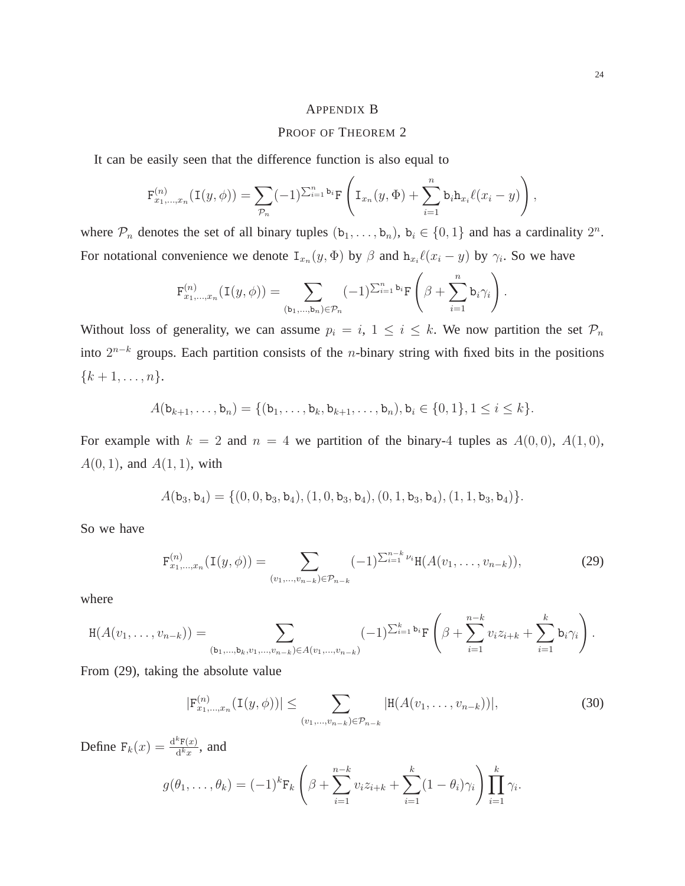#### APPENDIX B

## PROOF OF THEOREM 2

It can be easily seen that the difference function is also equal to

$$
\mathbf{F}_{x_1,...,x_n}^{(n)}(\mathbf{I}(y,\phi)) = \sum_{\mathcal{P}_n} (-1)^{\sum_{i=1}^n \mathbf{b}_i} \mathbf{F} \left( \mathbf{I}_{x_n}(y,\Phi) + \sum_{i=1}^n \mathbf{b}_i \mathbf{h}_{x_i} \ell(x_i - y) \right),
$$

where  $\mathcal{P}_n$  denotes the set of all binary tuples  $(b_1, \ldots, b_n)$ ,  $b_i \in \{0, 1\}$  and has a cardinality  $2^n$ . For notational convenience we denote  $I_{x_n}(y, \Phi)$  by  $\beta$  and  $h_{x_i}\ell(x_i - y)$  by  $\gamma_i$ . So we have

$$
\mathbf{F}_{x_1,\ldots,x_n}^{(n)}(\mathbf{I}(y,\phi))=\sum_{(\mathbf{b}_1,\ldots,\mathbf{b}_n)\in\mathcal{P}_n}(-1)^{\sum_{i=1}^n\mathbf{b}_i}\mathbf{F}\left(\beta+\sum_{i=1}^n\mathbf{b}_i\gamma_i\right).
$$

Without loss of generality, we can assume  $p_i = i$ ,  $1 \le i \le k$ . We now partition the set  $\mathcal{P}_n$ into  $2^{n-k}$  groups. Each partition consists of the *n*-binary string with fixed bits in the positions  ${k + 1, \ldots, n}.$ 

$$
A(\mathbf{b}_{k+1},\ldots,\mathbf{b}_n)=\{(\mathbf{b}_1,\ldots,\mathbf{b}_k,\mathbf{b}_{k+1},\ldots,\mathbf{b}_n),\mathbf{b}_i\in\{0,1\},1\leq i\leq k\}.
$$

For example with  $k = 2$  and  $n = 4$  we partition of the binary-4 tuples as  $A(0,0)$ ,  $A(1,0)$ ,  $A(0, 1)$ , and  $A(1, 1)$ , with

$$
A(\mathtt{b}_3,\mathtt{b}_4)=\{(0,0,\mathtt{b}_3,\mathtt{b}_4),(1,0,\mathtt{b}_3,\mathtt{b}_4),(0,1,\mathtt{b}_3,\mathtt{b}_4),(1,1,\mathtt{b}_3,\mathtt{b}_4)\}.
$$

So we have

$$
\mathbf{F}_{x_1,\dots,x_n}^{(n)}(\mathbf{I}(y,\phi)) = \sum_{(v_1,\dots,v_{n-k}) \in \mathcal{P}_{n-k}} (-1)^{\sum_{i=1}^{n-k} \nu_i} \mathbf{H}(A(v_1,\dots,v_{n-k})),
$$
(29)

where

$$
H(A(v_1,\ldots,v_{n-k})) = \sum_{(b_1,\ldots,b_k,v_1,\ldots,v_{n-k})\in A(v_1,\ldots,v_{n-k})} (-1)^{\sum_{i=1}^k b_i} F\left(\beta + \sum_{i=1}^{n-k} v_i z_{i+k} + \sum_{i=1}^k b_i \gamma_i\right).
$$

From (29), taking the absolute value

$$
|\mathbf{F}_{x_1,\dots,x_n}^{(n)}(\mathbf{I}(y,\phi))| \leq \sum_{(v_1,\dots,v_{n-k}) \in \mathcal{P}_{n-k}} |\mathbf{H}(A(v_1,\dots,v_{n-k}))|,
$$
\n(30)

Define  $F_k(x) = \frac{d^k F(x)}{d^k x}$  $\frac{\partial F(x)}{\partial k_x}$ , and

$$
g(\theta_1,\ldots,\theta_k) = (-1)^k \mathbf{F}_k \left( \beta + \sum_{i=1}^{n-k} v_i z_{i+k} + \sum_{i=1}^k (1-\theta_i) \gamma_i \right) \prod_{i=1}^k \gamma_i.
$$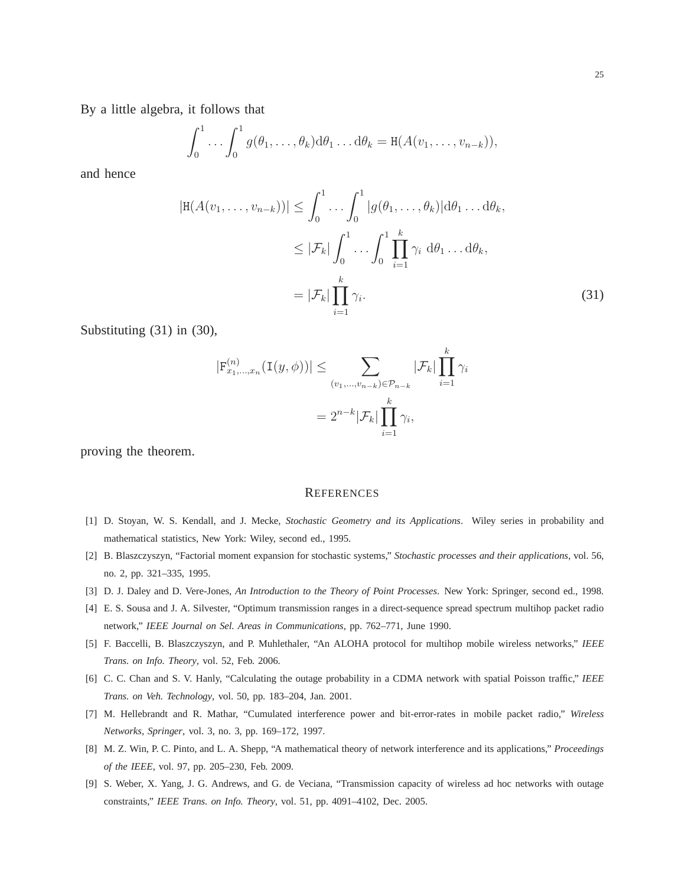By a little algebra, it follows that

$$
\int_0^1 \ldots \int_0^1 g(\theta_1,\ldots,\theta_k) d\theta_1 \ldots d\theta_k = H(A(v_1,\ldots,v_{n-k})),
$$

and hence

$$
|\mathbf{H}(A(v_1,\ldots,v_{n-k}))| \leq \int_0^1 \ldots \int_0^1 |g(\theta_1,\ldots,\theta_k)| d\theta_1 \ldots d\theta_k,
$$
  
\n
$$
\leq |\mathcal{F}_k| \int_0^1 \ldots \int_0^1 \prod_{i=1}^k \gamma_i d\theta_1 \ldots d\theta_k,
$$
  
\n
$$
= |\mathcal{F}_k| \prod_{i=1}^k \gamma_i.
$$
 (31)

Substituting (31) in (30),

$$
|\mathbf{F}_{x_1,\dots,x_n}^{(n)}(\mathbf{I}(y,\phi))| \leq \sum_{(v_1,\dots,v_{n-k}) \in \mathcal{P}_{n-k}} |\mathcal{F}_k| \prod_{i=1}^k \gamma_i
$$

$$
= 2^{n-k} |\mathcal{F}_k| \prod_{i=1}^k \gamma_i,
$$

proving the theorem.

## **REFERENCES**

- [1] D. Stoyan, W. S. Kendall, and J. Mecke, *Stochastic Geometry and its Applications*. Wiley series in probability and mathematical statistics, New York: Wiley, second ed., 1995.
- [2] B. Blaszczyszyn, "Factorial moment expansion for stochastic systems," *Stochastic processes and their applications*, vol. 56, no. 2, pp. 321–335, 1995.
- [3] D. J. Daley and D. Vere-Jones, *An Introduction to the Theory of Point Processes*. New York: Springer, second ed., 1998.
- [4] E. S. Sousa and J. A. Silvester, "Optimum transmission ranges in a direct-sequence spread spectrum multihop packet radio network," *IEEE Journal on Sel. Areas in Communications*, pp. 762–771, June 1990.
- [5] F. Baccelli, B. Blaszczyszyn, and P. Muhlethaler, "An ALOHA protocol for multihop mobile wireless networks," *IEEE Trans. on Info. Theory*, vol. 52, Feb. 2006.
- [6] C. C. Chan and S. V. Hanly, "Calculating the outage probability in a CDMA network with spatial Poisson traffic," *IEEE Trans. on Veh. Technology*, vol. 50, pp. 183–204, Jan. 2001.
- [7] M. Hellebrandt and R. Mathar, "Cumulated interference power and bit-error-rates in mobile packet radio," *Wireless Networks, Springer*, vol. 3, no. 3, pp. 169–172, 1997.
- [8] M. Z. Win, P. C. Pinto, and L. A. Shepp, "A mathematical theory of network interference and its applications," *Proceedings of the IEEE*, vol. 97, pp. 205–230, Feb. 2009.
- [9] S. Weber, X. Yang, J. G. Andrews, and G. de Veciana, "Transmission capacity of wireless ad hoc networks with outage constraints," *IEEE Trans. on Info. Theory*, vol. 51, pp. 4091–4102, Dec. 2005.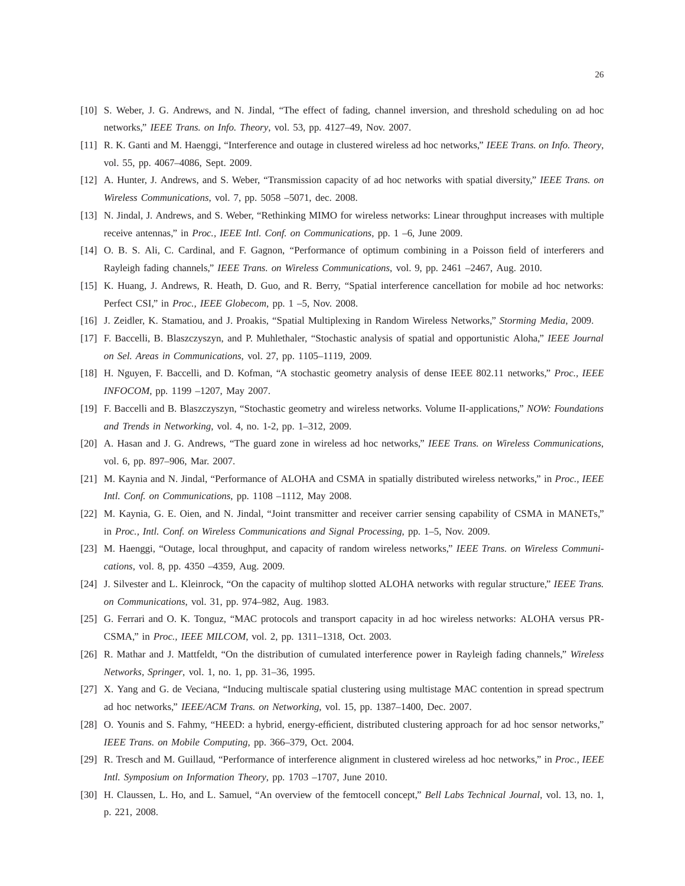- [10] S. Weber, J. G. Andrews, and N. Jindal, "The effect of fading, channel inversion, and threshold scheduling on ad hoc networks," *IEEE Trans. on Info. Theory*, vol. 53, pp. 4127–49, Nov. 2007.
- [11] R. K. Ganti and M. Haenggi, "Interference and outage in clustered wireless ad hoc networks," *IEEE Trans. on Info. Theory*, vol. 55, pp. 4067–4086, Sept. 2009.
- [12] A. Hunter, J. Andrews, and S. Weber, "Transmission capacity of ad hoc networks with spatial diversity," *IEEE Trans. on Wireless Communications*, vol. 7, pp. 5058 –5071, dec. 2008.
- [13] N. Jindal, J. Andrews, and S. Weber, "Rethinking MIMO for wireless networks: Linear throughput increases with multiple receive antennas," in *Proc., IEEE Intl. Conf. on Communications*, pp. 1 –6, June 2009.
- [14] O. B. S. Ali, C. Cardinal, and F. Gagnon, "Performance of optimum combining in a Poisson field of interferers and Rayleigh fading channels," *IEEE Trans. on Wireless Communications*, vol. 9, pp. 2461 –2467, Aug. 2010.
- [15] K. Huang, J. Andrews, R. Heath, D. Guo, and R. Berry, "Spatial interference cancellation for mobile ad hoc networks: Perfect CSI," in *Proc., IEEE Globecom*, pp. 1 –5, Nov. 2008.
- [16] J. Zeidler, K. Stamatiou, and J. Proakis, "Spatial Multiplexing in Random Wireless Networks," *Storming Media*, 2009.
- [17] F. Baccelli, B. Blaszczyszyn, and P. Muhlethaler, "Stochastic analysis of spatial and opportunistic Aloha," *IEEE Journal on Sel. Areas in Communications*, vol. 27, pp. 1105–1119, 2009.
- [18] H. Nguyen, F. Baccelli, and D. Kofman, "A stochastic geometry analysis of dense IEEE 802.11 networks," *Proc., IEEE INFOCOM*, pp. 1199 –1207, May 2007.
- [19] F. Baccelli and B. Blaszczyszyn, "Stochastic geometry and wireless networks. Volume II-applications," *NOW: Foundations and Trends in Networking*, vol. 4, no. 1-2, pp. 1–312, 2009.
- [20] A. Hasan and J. G. Andrews, "The guard zone in wireless ad hoc networks," *IEEE Trans. on Wireless Communications*, vol. 6, pp. 897–906, Mar. 2007.
- [21] M. Kaynia and N. Jindal, "Performance of ALOHA and CSMA in spatially distributed wireless networks," in *Proc., IEEE Intl. Conf. on Communications*, pp. 1108 –1112, May 2008.
- [22] M. Kaynia, G. E. Oien, and N. Jindal, "Joint transmitter and receiver carrier sensing capability of CSMA in MANETs," in *Proc., Intl. Conf. on Wireless Communications and Signal Processing*, pp. 1–5, Nov. 2009.
- [23] M. Haenggi, "Outage, local throughput, and capacity of random wireless networks," *IEEE Trans. on Wireless Communications*, vol. 8, pp. 4350 –4359, Aug. 2009.
- [24] J. Silvester and L. Kleinrock, "On the capacity of multihop slotted ALOHA networks with regular structure," *IEEE Trans. on Communications*, vol. 31, pp. 974–982, Aug. 1983.
- [25] G. Ferrari and O. K. Tonguz, "MAC protocols and transport capacity in ad hoc wireless networks: ALOHA versus PR-CSMA," in *Proc., IEEE MILCOM*, vol. 2, pp. 1311–1318, Oct. 2003.
- [26] R. Mathar and J. Mattfeldt, "On the distribution of cumulated interference power in Rayleigh fading channels," *Wireless Networks, Springer*, vol. 1, no. 1, pp. 31–36, 1995.
- [27] X. Yang and G. de Veciana, "Inducing multiscale spatial clustering using multistage MAC contention in spread spectrum ad hoc networks," *IEEE/ACM Trans. on Networking*, vol. 15, pp. 1387–1400, Dec. 2007.
- [28] O. Younis and S. Fahmy, "HEED: a hybrid, energy-efficient, distributed clustering approach for ad hoc sensor networks," *IEEE Trans. on Mobile Computing*, pp. 366–379, Oct. 2004.
- [29] R. Tresch and M. Guillaud, "Performance of interference alignment in clustered wireless ad hoc networks," in *Proc., IEEE Intl. Symposium on Information Theory*, pp. 1703 –1707, June 2010.
- [30] H. Claussen, L. Ho, and L. Samuel, "An overview of the femtocell concept," *Bell Labs Technical Journal*, vol. 13, no. 1, p. 221, 2008.